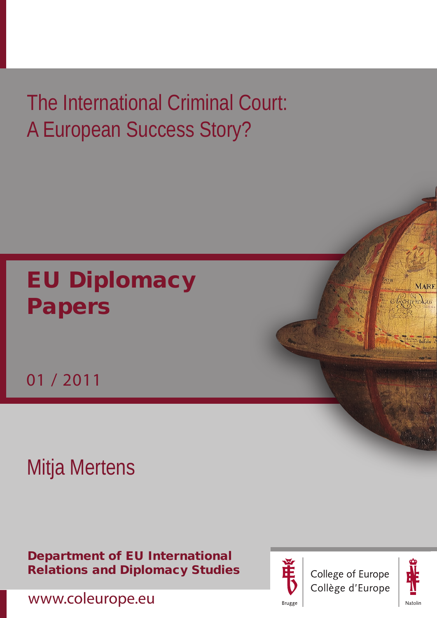# The International Criminal Court: A European Success Story?

# EU Diplomacy Papers

01 / 2011

# Mitja Mertens

Department of EU International Relations and Diplomacy Studies







**MARE** 

RCHIPEDULUS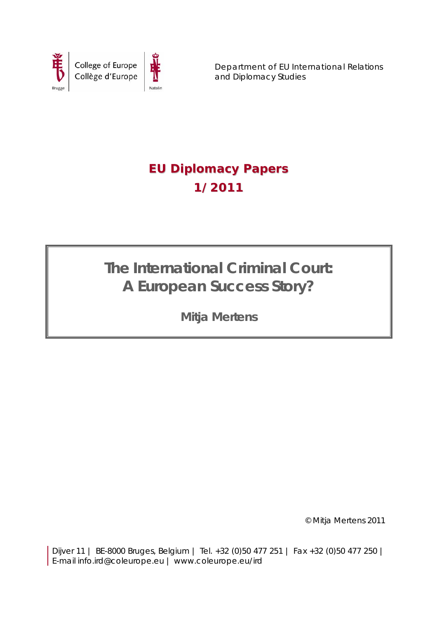

Department of EU International Relations and Diplomacy Studies

## **EU Diplomacy Papers 1/2011**

**The International Criminal Court: A European Success Story?** 

**Mitja Mertens** 

© Mitja Mertens 2011

Dijver 11 | BE-8000 Bruges, Belgium | Tel. +32 (0)50 477 251 | Fax +32 (0)50 477 250 | E-mail info.ird@coleurope.eu | www.coleurope.eu/ird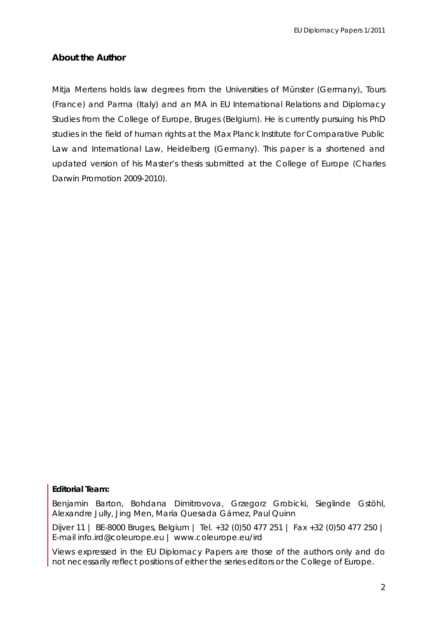### **About the Author**

Mitja Mertens holds law degrees from the Universities of Münster (Germany), Tours (France) and Parma (Italy) and an MA in EU International Relations and Diplomacy Studies from the College of Europe, Bruges (Belgium). He is currently pursuing his PhD studies in the field of human rights at the Max Planck Institute for Comparative Public Law and International Law, Heidelberg (Germany). This paper is a shortened and updated version of his Master's thesis submitted at the College of Europe (Charles Darwin Promotion 2009-2010).

#### **Editorial Team:**

Benjamin Barton, Bohdana Dimitrovova, Grzegorz Grobicki, Sieglinde Gstöhl, Alexandre Jully, Jing Men, María Quesada Gámez, Paul Quinn

Dijver 11 | BE-8000 Bruges, Belgium | Tel. +32 (0)50 477 251 | Fax +32 (0)50 477 250 | E-mail info.ird@coleurope.eu | www.coleurope.eu/ird

Views expressed in the *EU Diplomacy Papers* are those of the authors only and do not necessarily reflect positions of either the series editors or the College of Europe.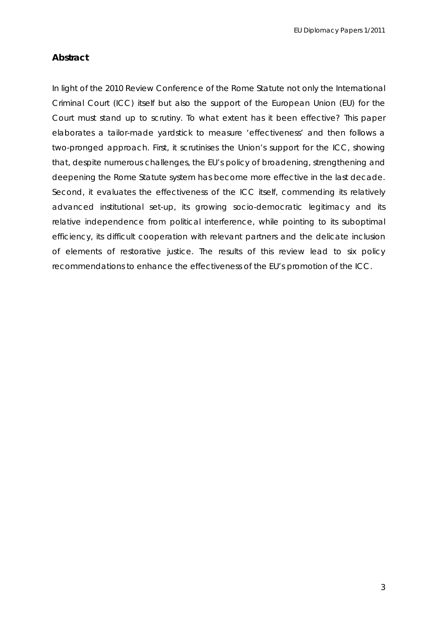### **Abstract**

In light of the 2010 Review Conference of the Rome Statute not only the International Criminal Court (ICC) itself but also the support of the European Union (EU) for the Court must stand up to scrutiny. To what extent has it been effective? This paper elaborates a tailor-made yardstick to measure 'effectiveness' and then follows a two-pronged approach. First, it scrutinises the Union's support for the ICC, showing that, despite numerous challenges, the EU's policy of broadening, strengthening and deepening the Rome Statute system has become more effective in the last decade. Second, it evaluates the effectiveness of the ICC itself, commending its relatively advanced institutional set-up, its growing socio-democratic legitimacy and its relative independence from political interference, while pointing to its suboptimal efficiency, its difficult cooperation with relevant partners and the delicate inclusion of elements of restorative justice. The results of this review lead to six policy recommendations to enhance the effectiveness of the EU's promotion of the ICC.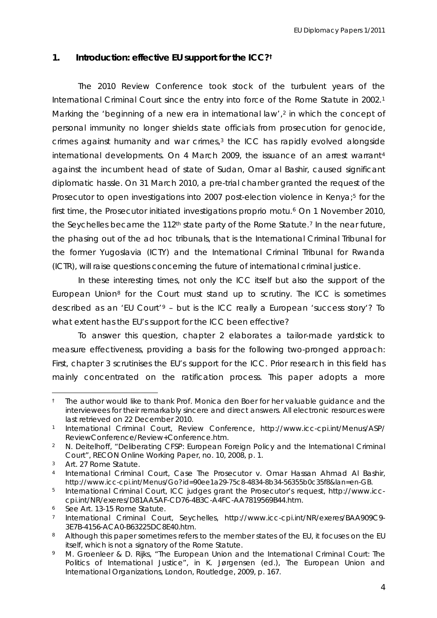#### **1. Introduction: effective EU support for the ICC?†**

The 2010 Review Conference took stock of the turbulent years of the International Criminal Court since the entry into force of the Rome Statute in 2002.[1](#page-4-0) Marking the 'beginning of a new era in international law',<sup>[2](#page-4-1)</sup> in which the concept of personal immunity no longer shields state officials from prosecution for genocide, crimes against humanity and war crimes,<sup>[3](#page-4-2)</sup> the ICC has rapidly evolved alongside international developments. On [4](#page-4-3) March 2009, the issuance of an arrest warrant<sup>4</sup> against the incumbent head of state of Sudan, Omar al Bashir, caused significant diplomatic hassle. On 31 March 2010, a pre-trial chamber granted the request of the Prosecutor to open investigations into 2007 post-election violence in Kenya;<sup>5</sup> for the first time, the Prosecutor initiated investigations *proprio motu*.<sup>[6](#page-4-5)</sup> On 1 November 2010, the Seychelles became the  $112<sup>th</sup>$  state party of the Rome Statute.<sup>[7](#page-4-6)</sup> In the near future, the phasing out of the *ad hoc* tribunals, that is the International Criminal Tribunal for the former Yugoslavia (ICTY) and the International Criminal Tribunal for Rwanda (ICTR), will raise questions concerning the future of international criminal justice.

In these interesting times, not only the ICC itself but also the support of the European Union[8](#page-4-7) for the Court must stand up to scrutiny. The ICC is sometimes described as an 'EU Court'[9](#page-4-8) – but is the ICC really a European 'success story'? To what extent has the EU's support for the ICC been effective?

To answer this question, chapter 2 elaborates a tailor-made yardstick to measure effectiveness, providing a basis for the following two-pronged approach: First, chapter 3 scrutinises the EU's support for the ICC. Prior research in this field has mainly concentrated on the ratification process. This paper adopts a more

<span id="page-4-0"></span><sup>†</sup> The author would like to thank Prof. Monica den Boer for her valuable guidance and the interviewees for their remarkably sincere and direct answers. All electronic resources were last retrieved on 22 December 2010.

<sup>1</sup> International Criminal Court, *Review Conference*, http://www.icc-cpi.int/Menus/ASP/ ReviewConference/Review+Conference.htm.

<span id="page-4-1"></span><sup>2</sup> N. Deitelhoff, "Deliberating CFSP: European Foreign Policy and the International Criminal Court", *RECON Online Working Paper*, no. 10, 2008, p. 1.

<span id="page-4-2"></span><sup>3</sup> Art. 27 Rome Statute.

<span id="page-4-3"></span><sup>4</sup> International Criminal Court, *Case The Prosecutor v. Omar Hassan Ahmad Al Bashir*, http://www.icc-cpi.int/Menus/Go?id=90ee1a29-75c8-4834-8b34-56355b0c35f8&lan=en-GB.

<span id="page-4-4"></span><sup>5</sup> International Criminal Court, *ICC judges grant the Prosecutor's request*, http://www.icccpi.int/NR/exeres/D81AA5AF-CD76-4B3C-A4FC-AA7819569B44.htm.

<span id="page-4-5"></span><sup>6</sup> See Art. 13-15 Rome Statute.

<span id="page-4-6"></span><sup>7</sup> International Criminal Court, *Seychelles*, http://www.icc-cpi.int/NR/exeres/BAA909C9- 3E7B-4156-ACA0-B63225DC8E40.htm.

<span id="page-4-7"></span><sup>8</sup> Although this paper sometimes refers to the member states of the EU, it focuses on the EU itself, which is not a signatory of the Rome Statute.

<span id="page-4-8"></span><sup>9</sup> M. Groenleer & D. Rijks, "The European Union and the International Criminal Court: The Politics of International Justice", in K. Jørgensen (ed.), *The European Union and International Organizations*, London, Routledge, 2009, p. 167.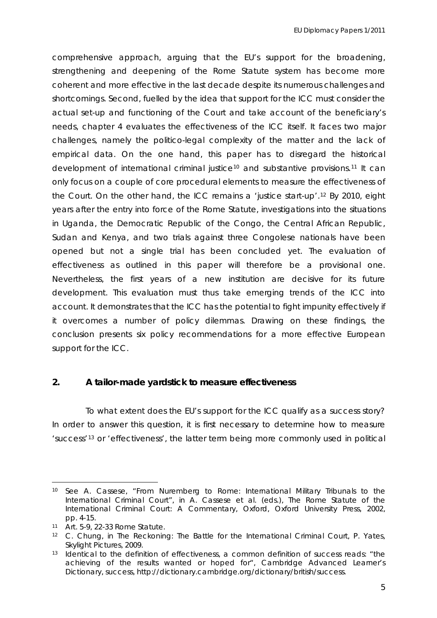comprehensive approach, arguing that the EU's support for the broadening, strengthening and deepening of the Rome Statute system has become more coherent and more effective in the last decade despite its numerous challenges and shortcomings. Second, fuelled by the idea that support for the ICC must consider the actual set-up and functioning of the Court and take account of the beneficiary's needs, chapter 4 evaluates the effectiveness of the ICC itself. It faces two major challenges, namely the politico-legal complexity of the matter and the lack of empirical data. On the one hand, this paper has to disregard the historical development of international criminal justice<sup>[10](#page-5-0)</sup> and substantive provisions.<sup>[11](#page-5-1)</sup> It can only focus on a couple of core procedural elements to measure the effectiveness of the Court. On the other hand, the ICC remains a 'justice start-up'.[12](#page-5-2) By 2010, eight years after the entry into force of the Rome Statute, investigations into the situations in Uganda, the Democratic Republic of the Congo, the Central African Republic, Sudan and Kenya, and two trials against three Congolese nationals have been opened but not a single trial has been concluded yet. The evaluation of effectiveness as outlined in this paper will therefore be a provisional one. Nevertheless, the first years of a new institution are decisive for its future development. This evaluation must thus take emerging trends of the ICC into account. It demonstrates that the ICC has the potential to fight impunity effectively if it overcomes a number of policy dilemmas. Drawing on these findings, the conclusion presents six policy recommendations for a more effective European support for the ICC.

#### **2. A tailor-made yardstick to measure effectiveness**

 To what extent does the EU's support for the ICC qualify as a success story? In order to answer this question, it is first necessary to determine how to measure 'success'[13](#page-5-3) or 'effectiveness', the latter term being more commonly used in political

<span id="page-5-0"></span> $\overline{a}$ 10 See A. Cassese, "From Nuremberg to Rome: International Military Tribunals to the International Criminal Court", in A. Cassese et al. (eds.), *The Rome Statute of the International Criminal Court: A Commentary,* Oxford, Oxford University Press, 2002, pp. 4-15.

<span id="page-5-1"></span><sup>11</sup> Art. 5-9, 22-33 Rome Statute.

<span id="page-5-2"></span><sup>12</sup> C. Chung, in *The Reckoning: The Battle for the International Criminal Court*, P. Yates, Skylight Pictures, 2009.

<span id="page-5-3"></span><sup>13</sup> Identical to the definition of effectiveness, a common definition of success reads: "the achieving of the results wanted or hoped for", Cambridge Advanced Learner's Dictionary, *success*, http://dictionary.cambridge.org/dictionary/british/success.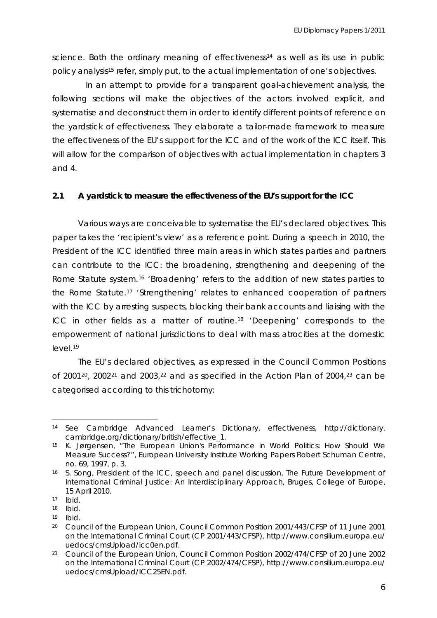science. Both the ordinary meaning of effectiveness<sup>[14](#page-6-0)</sup> as well as its use in public policy analysis<sup>[15](#page-6-1)</sup> refer, simply put, to the actual implementation of one's objectives.

 In an attempt to provide for a transparent goal-achievement analysis, the following sections will make the objectives of the actors involved explicit, and systematise and deconstruct them in order to identify different points of reference on the yardstick of effectiveness. They elaborate a tailor-made framework to measure the effectiveness of the EU's support for the ICC and of the work of the ICC itself. This will allow for the comparison of objectives with actual implementation in chapters 3 and 4.

#### **2.1 A yardstick to measure the effectiveness of the EU's support for the ICC**

Various ways are conceivable to systematise the EU's declared objectives. This paper takes the 'recipient's view' as a reference point. During a speech in 2010, the President of the ICC identified three main areas in which states parties and partners can contribute to the ICC: the broadening, strengthening and deepening of the Rome Statute system.<sup>[16](#page-6-2)</sup> 'Broadening' refers to the addition of new states parties to the Rome Statute.[17](#page-6-3) 'Strengthening' relates to enhanced cooperation of partners with the ICC by arresting suspects, blocking their bank accounts and liaising with the ICC in other fields as a matter of routine.[18](#page-6-4) 'Deepening' corresponds to the empowerment of national jurisdictions to deal with mass atrocities at the domestic level.[19](#page-6-5)

The EU's declared objectives, as expressed in the Council Common Positions of [20](#page-6-6)01 $20$ , 2002 $21$  and 2003, $22$  and as specified in the Action Plan of 2004, $23$  can be categorised according to this trichotomy:

<span id="page-6-8"></span><span id="page-6-0"></span><sup>14</sup> See Cambridge Advanced Learner's Dictionary, *effectiveness*, http://dictionary. cambridge.org/dictionary/british/effective\_1.

<span id="page-6-1"></span><sup>15</sup> K. Jørgensen, "The European Union's Performance in World Politics: How Should We Measure Success?", *European University Institute Working Papers Robert Schuman Centre,* no. 69, 1997, p. 3.

<span id="page-6-9"></span><span id="page-6-2"></span><sup>16</sup> S. Song, President of the ICC, speech and panel discussion, *The Future Development of International Criminal Justice: An Interdisciplinary Approach*, Bruges, College of Europe, 15 April 2010.

<span id="page-6-6"></span><span id="page-6-5"></span>

<span id="page-6-4"></span><span id="page-6-3"></span><sup>17</sup>*Ibid*. 18 *Ibid*. 19 *Ibid*. 20 Council of the European Union, *Council Common Position 2001/443/CFSP of 11 June 2001 on the International Criminal Court* (CP 2001/443/CFSP), http://www.consilium.europa.eu/ uedocs/cmsUpload/icc0en.pdf.

<span id="page-6-7"></span><sup>21</sup> Council of the European Union, *Council Common Position 2002/474/CFSP of 20 June 2002 on the International Criminal Court* (CP 2002/474/CFSP), http://www.consilium.europa.eu/ uedocs/cmsUpload/ICC25EN.pdf.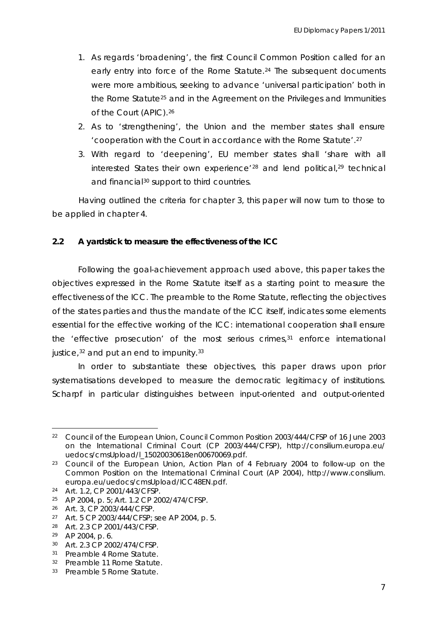- 1. As regards 'broadening', the first Council Common Position called for an early entry into force of the Rome Statute.<sup>[24](#page-7-0)</sup> The subsequent documents were more ambitious, seeking to advance 'universal participation' both in the Rome Statute[25](#page-7-1) and in the Agreement on the Privileges and Immunities of the Court (APIC).[26](#page-7-2)
- 2. As to 'strengthening', the Union and the member states shall ensure 'cooperation with the Court in accordance with the Rome Statute'.[27](#page-7-3)
- 3. With regard to 'deepening', EU member states shall 'share with all interested States their own experience<sup>'[28](#page-7-4)</sup> and lend political,<sup>[29](#page-7-5)</sup> technical and financial<sup>[30](#page-7-6)</sup> support to third countries.

Having outlined the criteria for chapter 3, this paper will now turn to those to be applied in chapter 4.

#### **2.2 A yardstick to measure the effectiveness of the ICC**

Following the goal-achievement approach used above, this paper takes the objectives expressed in the Rome Statute itself as a starting point to measure the effectiveness of the ICC. The preamble to the Rome Statute, reflecting the objectives of the states parties and thus the mandate of the ICC itself, indicates some elements essential for the effective working of the ICC: international cooperation shall ensure the 'effective prosecution' of the most serious crimes,<sup>[31](#page-7-7)</sup> enforce international justice, $32$  and put an end to impunity.  $33$ 

In order to substantiate these objectives, this paper draws upon prior systematisations developed to measure the democratic legitimacy of institutions. *Scharpf* in particular distinguishes between input-oriented and output-oriented

<sup>22</sup> Council of the European Union, *Council Common Position 2003/444/CFSP of 16 June 2003 on the International Criminal Court* (CP 2003/444/CFSP), http://consilium.europa.eu/ uedocs/cmsUpload/l\_15020030618en00670069.pdf.

<sup>23</sup> Council of the European Union, *Action Plan of 4 February 2004 to follow-up on the Common Position on the International Criminal Court* (AP 2004), http://www.consilium. europa.eu/uedocs/cmsUpload/ICC48EN.pdf.

<span id="page-7-0"></span><sup>24</sup> Art. 1.2, CP 2001/443/CFSP.

<span id="page-7-1"></span><sup>25</sup> AP 2004, p. 5; Art. 1.2 CP 2002/474/CFSP.

<span id="page-7-2"></span><sup>26</sup> Art. 3, CP 2003/444/CFSP.

<span id="page-7-3"></span><sup>27</sup> Art. 5 CP 2003/444/CFSP; see AP 2004, p. 5.

<span id="page-7-4"></span><sup>28</sup> Art. 2.3 CP 2001/443/CFSP.

<span id="page-7-5"></span><sup>29</sup> AP 2004, p. 6.

<span id="page-7-6"></span><sup>30</sup> Art. 2.3 CP 2002/474/CFSP.

<span id="page-7-7"></span><sup>31</sup> Preamble 4 Rome Statute.

<span id="page-7-8"></span><sup>32</sup> Preamble 11 Rome Statute.

<span id="page-7-9"></span><sup>33</sup> Preamble 5 Rome Statute.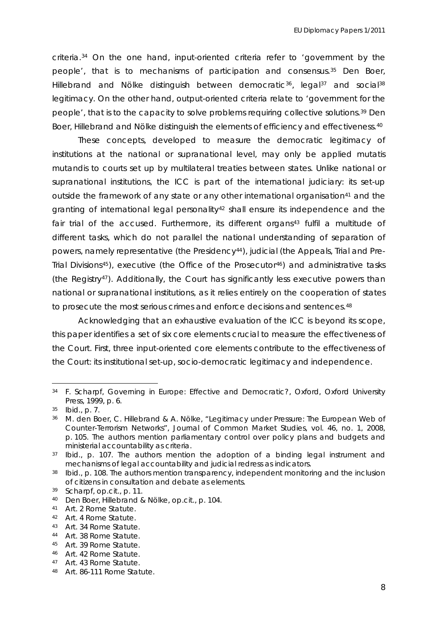criteria.[34](#page-8-0) On the one hand, input-oriented criteria refer to 'government by the people', that is to mechanisms of participation and consensus.[35](#page-8-1) *Den Boer, Hillebrand and Nölke* distinguish between democratic<sup>[36](#page-8-2)</sup>, legal<sup>[37](#page-8-3)</sup> and social<sup>[38](#page-8-4)</sup> legitimacy. On the other hand, output-oriented criteria relate to 'government for the people', that is to the capacity to solve problems requiring collective solutions.[39](#page-8-5) *Den Boer, Hillebrand and Nölke* distinguish the elements of efficiency and effectiveness.[40](#page-8-6)

These concepts, developed to measure the democratic legitimacy of institutions at the national or supranational level, may only be applied *mutatis mutandis* to courts set up by multilateral treaties between states. Unlike national or supranational institutions, the ICC is part of the international judiciary: its set-up outside the framework of any state or any other international organisation<sup>[41](#page-8-7)</sup> and the granting of international legal personality<sup>[42](#page-8-8)</sup> shall ensure its independence and the fair trial of the accused. Furthermore, its different organs<sup>[43](#page-8-9)</sup> fulfil a multitude of different tasks, which do not parallel the national understanding of separation of powers, namely representative (the Presidency<sup>[44](#page-8-10)</sup>), judicial (the Appeals, Trial and Pre-Trial Divisions[45](#page-8-11)), executive (the Office of the Prosecutor[46](#page-8-12)) and administrative tasks (the Registry<sup>[47](#page-8-13)</sup>). Additionally, the Court has significantly less executive powers than national or supranational institutions, as it relies entirely on the cooperation of states to prosecute the most serious crimes and enforce decisions and sentences.<sup>[48](#page-8-14)</sup>

Acknowledging that an exhaustive evaluation of the ICC is beyond its scope, this paper identifies a set of six core elements crucial to measure the effectiveness of the Court. First, three *input-oriented* core elements contribute to the effectiveness of the Court: its institutional set-up, socio-democratic legitimacy and independence.

<span id="page-8-0"></span><sup>34</sup> F. Scharpf, *Governing in Europe: Effective and Democratic?*, Oxford, Oxford University Press, 1999, p. 6.

<span id="page-8-1"></span><sup>35</sup> *Ibid*., p. 7.

<span id="page-8-2"></span><sup>36</sup> M. den Boer, C. Hillebrand & A. Nölke, "Legitimacy under Pressure: The European Web of Counter-Terrorism Networks", *Journal of Common Market Studies,* vol. 46, no. 1, 2008, p. 105. The authors mention parliamentary control over policy plans and budgets and ministerial accountability as criteria.

<span id="page-8-3"></span><sup>37</sup> *Ibid*., p. 107. The authors mention the adoption of a binding legal instrument and mechanisms of legal accountability and judicial redress as indicators.

<span id="page-8-4"></span><sup>38</sup> *Ibid*., p. 108. The authors mention transparency, independent monitoring and the inclusion of citizens in consultation and debate as elements.

<span id="page-8-5"></span><sup>39</sup> Scharpf, *op.cit.*, p. 11.

<span id="page-8-6"></span><sup>40</sup> Den Boer, Hillebrand & Nölke, *op.cit.*, p. 104.

<span id="page-8-7"></span><sup>41</sup> Art. 2 Rome Statute.

<span id="page-8-8"></span><sup>42</sup> Art. 4 Rome Statute.

<span id="page-8-9"></span><sup>43</sup> Art. 34 Rome Statute.

<span id="page-8-10"></span><sup>44</sup> Art. 38 Rome Statute.

<span id="page-8-11"></span><sup>45</sup> Art. 39 Rome Statute.

<span id="page-8-12"></span><sup>46</sup> Art. 42 Rome Statute.

<span id="page-8-13"></span><sup>47</sup> Art. 43 Rome Statute.

<span id="page-8-14"></span><sup>48</sup> Art. 86-111 Rome Statute.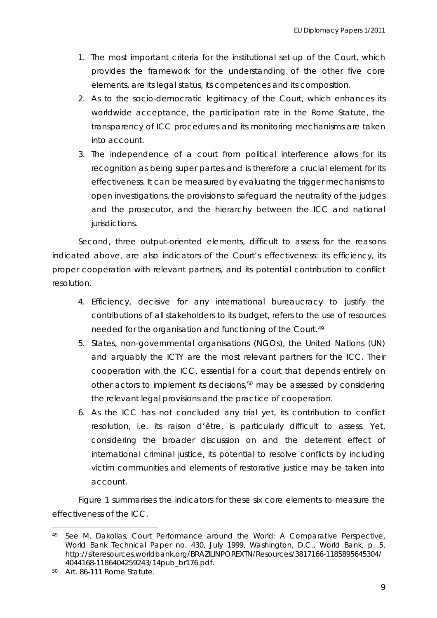- 1. The most important criteria for the institutional set-up of the Court, which provides the framework for the understanding of the other five core elements, are its legal status, its competences and its composition.
- 2. As to the socio-democratic legitimacy of the Court, which enhances its worldwide acceptance, the participation rate in the Rome Statute, the transparency of ICC procedures and its monitoring mechanisms are taken into account.
- 3. The independence of a court from political interference allows for its recognition as being *super partes* and is therefore a crucial element for its effectiveness. It can be measured by evaluating the trigger mechanisms to open investigations, the provisions to safeguard the neutrality of the judges and the prosecutor, and the hierarchy between the ICC and national jurisdictions.

Second, three *output-oriented* elements, difficult to assess for the reasons indicated above, are also indicators of the Court's effectiveness: its efficiency, its proper cooperation with relevant partners, and its potential contribution to conflict resolution.

- 4. Efficiency, decisive for any international bureaucracy to justify the contributions of all stakeholders to its budget, refers to the use of resources needed for the organisation and functioning of the Court.[49](#page-9-0)
- 5. States, non-governmental organisations (NGOs), the United Nations (UN) and arguably the ICTY are the most relevant partners for the ICC. Their cooperation with the ICC, essential for a court that depends entirely on other actors to implement its decisions,[50](#page-9-1) may be assessed by considering the relevant legal provisions and the practice of cooperation.
- 6. As the ICC has not concluded any trial yet, its contribution to conflict resolution, i.e. its *raison d'être*, is particularly difficult to assess. Yet, considering the broader discussion on and the deterrent effect of international criminal justice, its potential to resolve conflicts by including victim communities and elements of restorative justice may be taken into account.

Figure 1 summarises the indicators for these six core elements to measure the effectiveness of the ICC.

<span id="page-9-0"></span><sup>49</sup> See M. Dakolias, Court Performance around the World: A Comparative Perspective, *World Bank Technical Paper* no. 430, July 1999, Washington, D.C., World Bank, p. 5, http://siteresources.worldbank.org/BRAZILINPOREXTN/Resources/3817166-1185895645304/ 4044168-1186404259243/14pub\_br176.pdf.

<span id="page-9-1"></span><sup>50</sup> Art. 86-111 Rome Statute.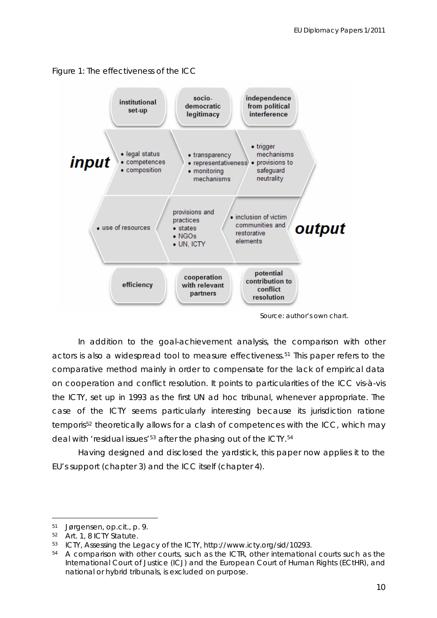



*Source*: author's own chart.

In addition to the goal-achievement analysis, the comparison with other actors is also a widespread tool to measure effectiveness.[51](#page-10-0) This paper refers to the comparative method mainly in order to compensate for the lack of empirical data on cooperation and conflict resolution. It points to particularities of the ICC *vis-à-vis* the ICTY, set up in 1993 as the first UN *ad hoc* tribunal, whenever appropriate. The case of the ICTY seems particularly interesting because its jurisdiction *ratione temporis[52](#page-10-1)* theoretically allows for a clash of competences with the ICC, which may deal with 'residual issues'<sup>[53](#page-10-2)</sup> after the phasing out of the ICTY.<sup>[54](#page-10-3)</sup>

Having designed and disclosed the yardstick, this paper now applies it to the EU's support (chapter 3) and the ICC itself (chapter 4).

<span id="page-10-0"></span><sup>51</sup> Jørgensen, *op.cit.*, p. 9.

<span id="page-10-1"></span><sup>52</sup> Art. 1, 8 ICTY Statute.

<span id="page-10-2"></span><sup>53</sup> ICTY, *Assessing the Legacy of the ICTY*, http://www.icty.org/sid/10293.

<span id="page-10-3"></span><sup>&</sup>lt;sup>54</sup> A comparison with other courts, such as the ICTR, other international courts such as the International Court of Justice (ICJ) and the European Court of Human Rights (ECtHR), and national or hybrid tribunals, is excluded on purpose.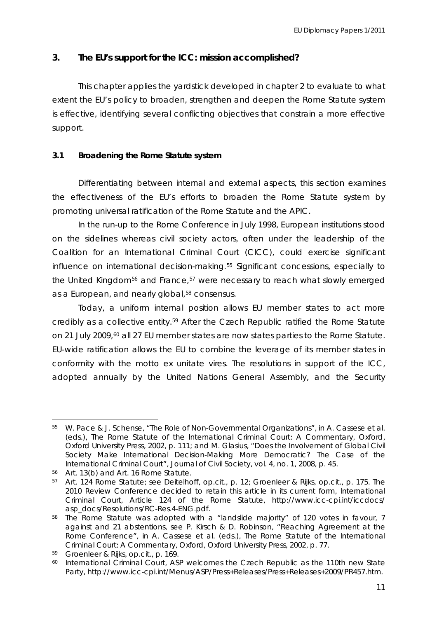### **3. The EU's support for the ICC: mission accomplished?**

This chapter applies the yardstick developed in chapter 2 to evaluate to what extent the EU's policy to broaden, strengthen and deepen the Rome Statute system is effective, identifying several conflicting objectives that constrain a more effective support.

#### **3.1 Broadening the Rome Statute system**

Differentiating between internal and external aspects, this section examines the effectiveness of the EU's efforts to broaden the Rome Statute system by promoting universal ratification of the Rome Statute and the APIC.

In the run-up to the Rome Conference in July 1998, European institutions stood on the sidelines whereas civil society actors, often under the leadership of the Coalition for an International Criminal Court (CICC), could exercise significant influence on international decision-making.[55](#page-11-0) Significant concessions, especially to the United Kingdom<sup>[56](#page-11-1)</sup> and France,<sup>[57](#page-11-2)</sup> were necessary to reach what slowly emerged as a European, and nearly global,<sup>[58](#page-11-3)</sup> consensus.

Today, a uniform *internal* position allows EU member states to act more credibly as a collective entity[.59](#page-11-4) After the Czech Republic ratified the Rome Statute on 21 July 2009, $60$  all 27 EU member states are now states parties to the Rome Statute. EU-wide ratification allows the EU to combine the leverage of its member states in conformity with the motto *ex unitate vires*. The resolutions in support of the ICC, adopted annually by the United Nations General Assembly, and the Security

<span id="page-11-0"></span><sup>55</sup> W. Pace & J. Schense, "The Role of Non-Governmental Organizations", in A. Cassese et al. (eds.), *The Rome Statute of the International Criminal Court: A Commentary,* Oxford, Oxford University Press, 2002, p. 111; and M. Glasius, "Does the Involvement of Global Civil Society Make International Decision-Making More Democratic? The Case of the International Criminal Court", *Journal of Civil Society*, vol. 4, no. 1, 2008, p. 45.

<span id="page-11-1"></span><sup>56</sup> Art. 13(b) and Art. 16 Rome Statute.

<span id="page-11-2"></span><sup>57</sup> Art. 124 Rome Statute; see Deitelhoff, *op.cit.*, p. 12; Groenleer & Rijks, *op.cit.*, p. 175. The 2010 Review Conference decided to retain this article in its current form, International Criminal Court, *Article 124 of the Rome Statute*, http://www.icc-cpi.int/iccdocs/ asp\_docs/Resolutions/RC-Res.4-ENG.pdf.

<span id="page-11-3"></span><sup>58</sup> The Rome Statute was adopted with a "landslide majority" of 120 votes in favour, 7 against and 21 abstentions, see P. Kirsch & D. Robinson, "Reaching Agreement at the Rome Conference", in A. Cassese et al. (eds.), *The Rome Statute of the International Criminal Court: A Commentary,* Oxford, Oxford University Press, 2002, p. 77.

<span id="page-11-4"></span><sup>59</sup> Groenleer & Rijks, *op.cit.*, p. 169.

<span id="page-11-5"></span><sup>60</sup> International Criminal Court, *ASP welcomes the Czech Republic as the 110th new State Party*, http://www.icc-cpi.int/Menus/ASP/Press+Releases/Press+Releases+2009/PR457.htm.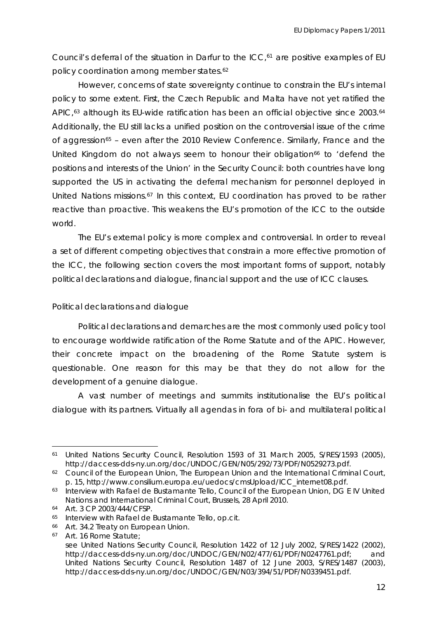Council's deferral of the situation in Darfur to the ICC,<sup>[61](#page-12-0)</sup> are positive examples of EU policy coordination among member states.<sup>[62](#page-12-1)</sup>

However, concerns of state sovereignty continue to constrain the EU's internal policy to some extent. First, the Czech Republic and Malta have not yet ratified the APIC,<sup>[63](#page-12-2)</sup> although its EU-wide ratification has been an official objective since 2003.<sup>[64](#page-12-3)</sup> Additionally, the EU still lacks a unified position on the controversial issue of the crime of aggression<sup> $65$ </sup> – even after the 2010 Review Conference. Similarly, France and the United Kingdom do not always seem to honour their obligation<sup>[66](#page-12-5)</sup> to 'defend the positions and interests of the Union' in the Security Council: both countries have long supported the US in activating the deferral mechanism for personnel deployed in United Nations missions.[67](#page-12-6) In this context, EU coordination has proved to be rather reactive than proactive. This weakens the EU's promotion of the ICC to the outside world.

The EU's *external* policy is more complex and controversial. In order to reveal a set of different competing objectives that constrain a more effective promotion of the ICC, the following section covers the most important forms of support, notably political declarations and dialogue, financial support and the use of ICC clauses.

#### *Political declarations and dialogue*

Political declarations and demarches are the most commonly used policy tool to encourage worldwide ratification of the Rome Statute and of the APIC. However, their concrete impact on the broadening of the Rome Statute system is questionable. One reason for this may be that they do not allow for the development of a genuine dialogue.

A vast number of meetings and summits institutionalise the EU's political dialogue with its partners. Virtually all agendas in fora of bi- and multilateral political

<span id="page-12-0"></span><sup>61</sup> United Nations Security Council, *Resolution 1593 of 31 March 2005*, S/RES/1593 (2005), http://daccess-dds-ny.un.org/doc/UNDOC/GEN/N05/292/73/PDF/N0529273.pdf.

<span id="page-12-1"></span><sup>62</sup> Council of the European Union, *The European Union and the International Criminal Court*, p. 15, http://www.consilium.europa.eu/uedocs/cmsUpload/ICC\_internet08.pdf.

<span id="page-12-2"></span><sup>63</sup> Interview with Rafael de Bustamante Tello, Council of the European Union, DG E IV United Nations and International Criminal Court, Brussels, 28 April 2010.

<span id="page-12-3"></span><sup>64</sup> Art. 3 CP 2003/444/CFSP.

<span id="page-12-5"></span><span id="page-12-4"></span><sup>65</sup> Interview with Rafael de Bustamante Tello, *op.cit.* 66 Art. 34.2 Treaty on European Union.

<span id="page-12-6"></span><sup>67</sup> Art. 16 Rome Statute; see United Nations Security Council, *Resolution 1422 of 12 July 2002*, S/RES/1422 (2002), http://daccess-dds-ny.un.org/doc/UNDOC/GEN/N02/477/61/PDF/N0247761.pdf; and United Nations Security Council, *Resolution 1487 of 12 June 2003*, S/RES/1487 (2003), http://daccess-dds-ny.un.org/doc/UNDOC/GEN/N03/394/51/PDF/N0339451.pdf.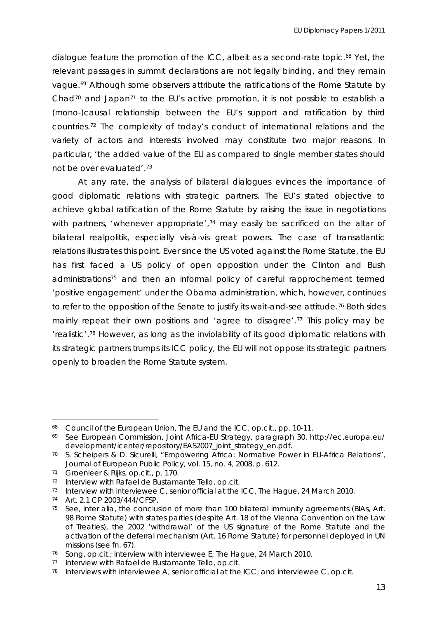dialogue feature the promotion of the ICC, albeit as a second-rate topic.<sup>[68](#page-13-0)</sup> Yet, the relevant passages in summit declarations are not legally binding, and they remain vague.[69](#page-13-1) Although some observers attribute the ratifications of the Rome Statute by Chad<sup>[70](#page-13-2)</sup> and Japan<sup>[71](#page-13-3)</sup> to the EU's active promotion, it is not possible to establish a (mono-)causal relationship between the EU's support and ratification by third countries.[72](#page-13-4) The complexity of today's conduct of international relations and the variety of actors and interests involved may constitute two major reasons. In particular, 'the added value of the EU as compared to single member states should not be over evaluated'.[73](#page-13-5)

At any rate, the analysis of bilateral dialogues evinces the importance of good diplomatic relations with strategic partners. The EU's stated objective to achieve global ratification of the Rome Statute by raising the issue in negotiations with partners, 'whenever appropriate',<sup>[74](#page-13-6)</sup> may easily be sacrificed on the altar of bilateral *realpolitik*, especially *vis-à-vis* great powers. The case of transatlantic relations illustrates this point. Ever since the US voted against the Rome Statute, the EU has first faced a US policy of open opposition under the *Clinton* and *Bush* administrations<sup>[75](#page-13-7)</sup> and then an informal policy of careful rapprochement termed 'positive engagement' under the *Obama* administration, which, however, continues to refer to the opposition of the Senate to justify its wait-and-see attitude.<sup>[76](#page-13-8)</sup> Both sides mainly repeat their own positions and 'agree to disagree'.<sup>[77](#page-13-9)</sup> This policy may be 'realistic'.[78](#page-13-10) However, as long as the inviolability of its good diplomatic relations with its strategic partners trumps its ICC policy, the EU will not oppose its strategic partners openly to broaden the Rome Statute system.

<span id="page-13-0"></span><sup>68</sup> Council of the European Union, *The EU and the ICC*, *op.cit*., pp. 10-11.

<span id="page-13-1"></span><sup>69</sup> See European Commission, *Joint Africa-EU Strategy*, paragraph 30, http://ec.europa.eu/ development/icenter/repository/EAS2007\_joint\_strategy\_en.pdf.

<span id="page-13-2"></span><sup>70</sup> S. Scheipers & D. Sicurelli, "Empowering Africa: Normative Power in EU-Africa Relations", *Journal of European Public Policy*, vol. 15, no. 4, 2008, p. 612.

<span id="page-13-3"></span><sup>71</sup> Groenleer & Rijks, *op.cit.*, p. 170.

<span id="page-13-4"></span><sup>72</sup> Interview with Rafael de Bustamante Tello, *op.cit.*

<span id="page-13-5"></span><sup>73</sup> Interview with interviewee C, senior official at the ICC, The Hague, 24 March 2010.

<span id="page-13-6"></span><sup>74</sup> Art. 2.1 CP 2003/444/CFSP.

<span id="page-13-7"></span><sup>75</sup> See, *inter alia*, the conclusion of more than 100 bilateral immunity agreements (BIAs, Art. 98 Rome Statute) with states parties (despite Art. 18 of the Vienna Convention on the Law of Treaties), the 2002 'withdrawal' of the US signature of the Rome Statute and the activation of the deferral mechanism (Art. 16 Rome Statute) for personnel deployed in UN missions (see fn. 67).

<span id="page-13-8"></span><sup>76</sup> Song, *op.cit.;* Interview with interviewee E, The Hague, 24 March 2010.

<span id="page-13-9"></span><sup>77</sup> Interview with Rafael de Bustamante Tello, *op.cit.*

<span id="page-13-10"></span><sup>78</sup> Interviews with interviewee A, senior official at the ICC; and interviewee C, *op.cit.*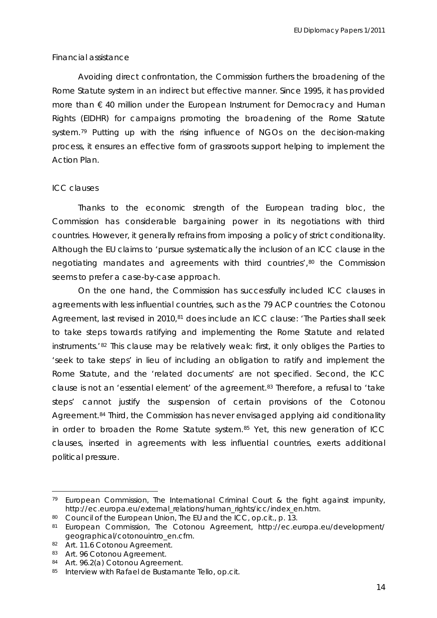#### *Financial assistance*

Avoiding direct confrontation, the Commission furthers the broadening of the Rome Statute system in an indirect but effective manner. Since 1995, it has provided more than  $\epsilon$  40 million under the European Instrument for Democracy and Human Rights (EIDHR) for campaigns promoting the broadening of the Rome Statute system.<sup>[79](#page-14-0)</sup> Putting up with the rising influence of NGOs on the decision-making process, it ensures an effective form of grassroots support helping to implement the Action Plan.

#### *ICC clauses*

Thanks to the economic strength of the European trading bloc, the Commission has considerable bargaining power in its negotiations with third countries. However, it generally refrains from imposing a policy of strict conditionality. Although the EU claims to 'pursue systematically the inclusion of an ICC clause in the negotiating mandates and agreements with third countries',<sup>[80](#page-14-1)</sup> the Commission seems to prefer a case-by-case approach.

clauses, inserted in agreements with less influential countries, exerts additional politic al pressure. On the one hand, the Commission has successfully included ICC clauses in agreements with less influential countries, such as the 79 ACP countries: the Cotonou Agreement, last revised in 2010,<sup>[81](#page-14-2)</sup> does include an ICC clause: 'The Parties shall seek to take steps towards ratifying and implementing the Rome Statute and related instruments.'[82](#page-14-3) This clause may be relatively weak: first, it only obliges the Parties to 'seek to take steps' in lieu of including an obligation to ratify and implement the Rome Statute, and the 'related documents' are not specified. Second, the ICC clause is not an 'essential element' of the agreement.<sup>[83](#page-14-4)</sup> Therefore, a refusal to 'take steps' cannot justify the suspension of certain provisions of the Cotonou Agreement.<sup>84</sup> Third, the Commission has never envisaged applying aid conditionality in order to broaden the Rome Statute system.<sup>[85](#page-14-6)</sup> Yet, this new generation of ICC

<span id="page-14-0"></span><sup>79</sup> European Commission, *The International Criminal Court & the fight against impunity*, http://ec.europa.eu/external\_relations/human\_rights/icc/index\_en.htm.

<span id="page-14-1"></span><sup>80</sup> Council of the European Union, *The EU and the ICC*, *op.cit.*, p. 13.

<span id="page-14-2"></span><sup>81</sup> European Commission, *The Cotonou Agreement*, http://ec.europa.eu/development/ geographical/cotonouintro\_en.cfm.

<span id="page-14-3"></span><sup>82</sup> Art. 11.6 Cotonou Agreement.

<span id="page-14-4"></span><sup>83</sup> Art. 96 Cotonou Agreement.

<span id="page-14-5"></span><sup>84</sup> Art. 96.2(a) Cotonou Agreement.

<span id="page-14-6"></span><sup>85</sup> Interview with Rafael de Bustamante Tello, *op.cit.*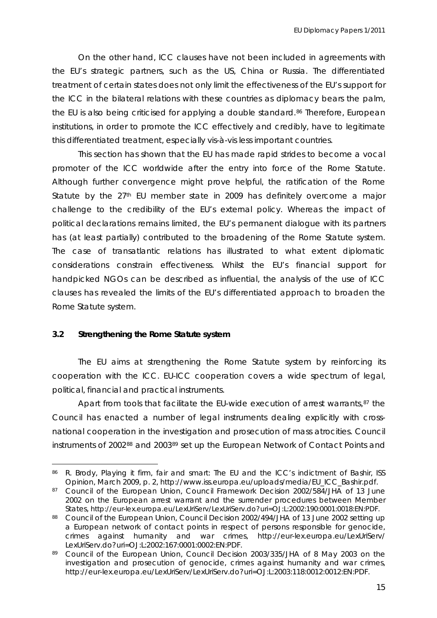On the other hand, ICC clauses have not been included in agreements with the EU's strategic partners, such as the US, China or Russia. The differentiated treatment of certain states does not only limit the effectiveness of the EU's support for the ICC in the bilateral relations with these countries as diplomacy bears the palm, the EU is also being criticised for applying a double standard.<sup>[86](#page-15-0)</sup> Therefore, European institut ions, in order to promote the ICC effectively and credibly, have to legitimate this differentiated treatment, especially *vis-à-vis* less important countries.

handpicked NGOs can be described as influential, the analysis of the use of ICC clauses has revealed the limits of the EU's differentiated approach to broaden the This section has shown that the EU has made rapid strides to become a vocal promoter of the ICC worldwide after the entry into force of the Rome Statute. Although further convergence might prove helpful, the ratification of the Rome Statute by the 27<sup>th</sup> EU member state in 2009 has definitely overcome a major challenge to the credibility of the EU's external policy. Whereas the impact of political declarations remains limited, the EU's permanent dialogue with its partners has (at least partially) contributed to the broadening of the Rome Statute system. The case of transatlantic relations has illustrated to what extent diplomatic considerations constrain effectiveness. Whilst the EU's financial support for Rome Statute system.

#### **3.2 Strengthening the Rome Statute system**

 $\overline{a}$ 

The EU aims at strengthening the Rome Statute system by reinforcing its coope ration with the ICC. EU-ICC cooperation covers a wide spectrum of legal, political, financial and practical instruments.

instruments of 2002<sup>88</sup> and 2003<sup>89</sup> set up the European Network of Contact Points and Apart from tools that facilitate the EU-wide execution of arrest warrants,  $87$  the Council has enacted a number of legal instruments dealing explicitly with crossnational cooperation in the investigation and prosecution of mass atrocities. Council

<span id="page-15-0"></span><sup>86</sup> R. Brody, *Playing it firm, fair and smart: The EU and the ICC's indictment of Bashir*, ISS Opinion, March 2009, p. 2, http://www.iss.europa.eu/uploads/media/EU\_ICC\_Bashir.pdf.

<span id="page-15-1"></span><sup>87</sup> Council of the European Union, *Council Framework Decision 2002/584/JHA of 13 June 2002 on the European arrest warrant and the surrender procedures between Member States*, http://eur-lex.europa.eu/LexUriServ/LexUriServ.do?uri=OJ:L:2002:190:0001:0018:EN:PDF.

<sup>88</sup> Council of the European Union, *Council Decision 2002/494/JHA of 13 June 2002 setting up a European network of contact points in respect of persons responsible for genocide, crimes against humanity and war crimes*, http://eur-lex.europa.eu/LexUriServ/ LexUriServ.do?uri=OJ:L:2002:167:0001:0002:EN:PDF.

<sup>89</sup> Council of the European Union, *Council Decision 2003/335/JHA of 8 May 2003 on the investigation and prosecution of genocide, crimes against humanity and war crimes*, http://eur-lex.europa.eu/LexUriServ/LexUriServ.do?uri=OJ:L:2003:118:0012:0012:EN:PDF.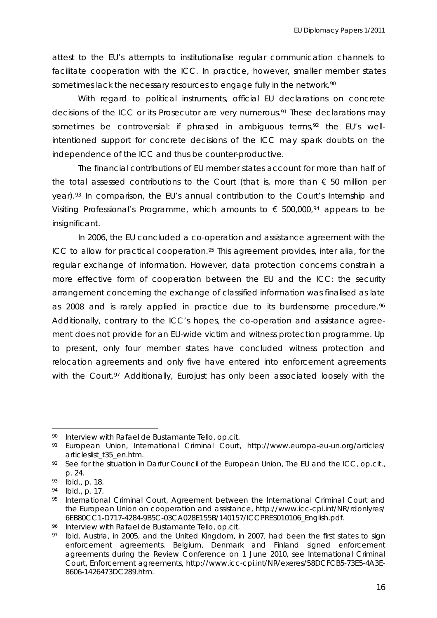attest to the EU's attempts to institutionalise regular communication channels to facilitate cooperation with the ICC. In practice, however, smaller member states sometimes lack the necessary resources to engage fully in the network.<sup>[90](#page-16-0)</sup>

[intentioned support for concrete decisions of the ICC ma](#page-16-1)y spark doubts on the indepe ndence of the ICC and thus be counter-productive. With regard to political instruments, official EU declarations on concrete [decisions of the ICC or its Prosecutor are very numerous.](#page-16-0)91 [These declarations may](#page-16-1)  sometimes be controversial: if phrased in ambiguous terms,<sup>92</sup> the EU's well-

Visiting Professional's Programme, which amounts to  $\epsilon$  500,000,<sup>94</sup> appears to be insignif icant. The financial contributions of EU member states account for more than half of the total assessed contributions to the Court (that is, more than  $\epsilon$  50 million per year).<sup>[93](#page-16-2)</sup> In comparison, the EU's annual contribution to the Court's Internship and

In 2006, the EU concluded a co-operation and assistance agreement with the ICC to allow for practical cooperation.[95](#page-16-3) This agreement provides, *inter alia*, for the regular exchange of information. However, data protection concerns constrain a more effective form of cooperation between the EU and the ICC: the security arrangement concerning the exchange of classified information was finalised as late as 2008 and is rarely applied in practice due to its burdensome procedure.<sup>[96](#page-16-4)</sup> Additionally, contrary to the ICC's hopes, the co-operation and assistance agreement does not provide for an EU-wide victim and witness protection programme. Up to present, only four member states have concluded witness protection and relocation agreements and only five have entered into enforcement agreements with the Court.<sup>[97](#page-16-5)</sup> Additionally, Eurojust has only been associated loosely with the

<sup>90</sup> Interview with Rafael de Bustamante Tello, op.cit.

<span id="page-16-0"></span><sup>&</sup>lt;sup>91</sup> European Union, *International Criminal Court*, http://www.europa-eu-un.org/articles/ articleslist\_t35\_en.htm.

<span id="page-16-1"></span><sup>92</sup> See for the situation in Darfur Council of the European Union, *The EU and the ICC*, *op.cit*., p. 24.

<sup>93</sup>  *Ibid*., p. 18.

<span id="page-16-2"></span><sup>94</sup> *Ibid*., p. 17.

<span id="page-16-3"></span><sup>95</sup> International Criminal Court, *Agreement between the International Criminal Court and the European Union on cooperation and assistance*, http://www.icc-cpi.int/NR/rdonlyres/ 6EB80CC1-D717-4284-9B5C-03CA028E155B/140157/ICCPRES010106\_English.pdf.

<span id="page-16-4"></span><sup>96</sup>  Interview with Rafael de Bustamante Tello, *op.cit.*

<span id="page-16-5"></span><sup>&</sup>lt;sup>97</sup> Ibid. Austria, in 2005, and the United Kingdom, in 2007, had been the first states to sign enforcement agreements. Belgium, Denmark and Finland signed enforcement agreements during the Review Conference on 1 June 2010, see International Criminal Court, *Enforcement agreements*, http://www.icc-cpi.int/NR/exeres/58DCFCB5-73E5-4A3E-8606-1426473DC289.htm.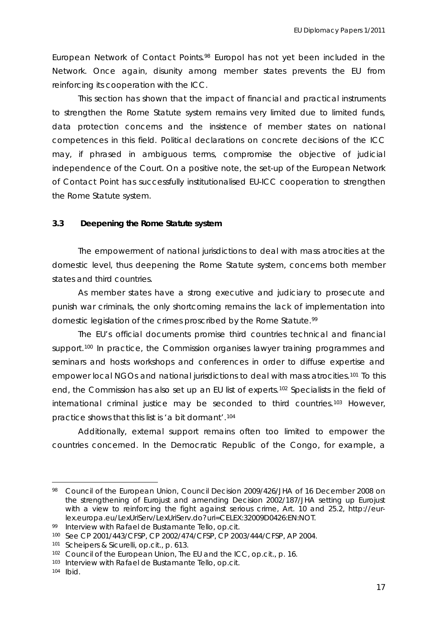European Network of Contact Points.[98](#page-17-0) Europol has not yet been included in the Network. Once again, disunity among member states prevents the EU from reinfor cing its cooperation with the ICC.

of Contact Point has successfully institutionalised EU-ICC cooperation to strengthen the Rome Statute system. This section has shown that the impact of financial and practical instruments to strengthen the Rome Statute system remains very limited due to limited funds, data protection concerns and the insistence of member states on national competences in this field. Political declarations on concrete decisions of the ICC may, if phrased in ambiguous terms, compromise the objective of judicial independence of the Court. On a positive note, the set-up of the European Network

#### **3.3 eepening the Rome Statute system D**

domestic level, thus deepening the Rome Statute system, concerns both member states and third countries. The empowerment of national jurisdictions to deal with mass atrocities at the

punish war criminals, the only shortcoming remains the lack of implementation into domestic legislation of the crimes proscribed by the Rome Statute.<sup>[99](#page-17-1)</sup> As member states have a strong executive and judiciary to prosecute and

international criminal justice may be seconded to third countries.<sup>103</sup> However, practic e shows that this list is 'a bit dormant'[.104](#page-18-0) The EU's official documents promise third countries technical and financial support.<sup>[100](#page-17-2)</sup> In practice, the Commission organises lawyer training programmes and seminars and hosts workshops and conferences in order to diffuse expertise and empower local NGOs and national jurisdictions to deal with mass atrocities.<sup>[101](#page-17-3)</sup> To this end, the Commission has also set up an EU list of experts.[102](#page-17-4) Specialists in the field of

[Additionally, external support remains often too limited to empower the](#page-18-0)  [countries concerned. In the Democratic Republic of the Congo, for example, a](#page-18-0) 

<span id="page-17-0"></span><sup>98</sup> Council of the European Union, *Council Decision 2009/426/JHA of 16 December 2008 on the strengthening of Eurojust and amending Decision 2002/187/JHA setting up Eurojust with a view to reinforcing the fight against serious crime*, Art. 10 and 25.2, http://eurlex.europa.eu/LexUriServ/LexUriServ.do?uri=CELEX:32009D0426:EN:NOT.

<span id="page-17-1"></span><sup>99</sup> Interview with Rafael de Bustamante Tello, *op.cit.*

<sup>100</sup> See CP 2001/443/CFSP, CP 2002/474/CFSP, CP 2003/444/CFSP, AP 2004.

<span id="page-17-3"></span><span id="page-17-2"></span><sup>101</sup> Scheipers & Sicurelli, *op.cit.*, p. 613.

<sup>102</sup> Council of the European Union, *The EU and the ICC*, *op.cit.*, p. 16.

<sup>103</sup> Interview with Rafael de Bustamante Tello, op.cit.

<span id="page-17-4"></span><sup>104</sup> *Ibid*.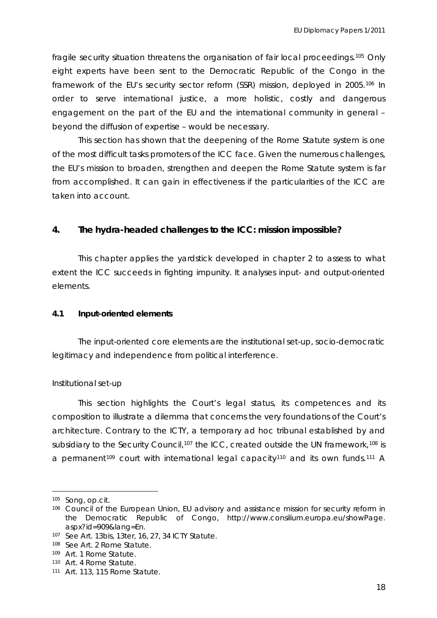[fragile security situation threatens the organisation of fair local proceedings.](#page-18-0)105 [Only](#page-18-1)  [eight experts have been sent to the Democratic Republic of the Congo in the](#page-18-1)  framework of the EU's security sector reform (SSR) mission, deployed in 2005.<sup>106</sup> In [order to serve international justice, a more holistic](#page-18-1), costly and dangerous engag ement on the part of the EU and the international community in general – beyond the diffusion of expertise – would be necessary.

the EU's mission to broaden, strengthen and deepen the Rome Statute system is far from accomplished. It can gain in effectiveness if the particularities of the ICC are This section has shown that the deepening of the Rome Statute system is one of the most difficult tasks promoters of the ICC face. Given the numerous challenges, taken into account.

#### **4. The hydra-headed challenges to the ICC: mission impossible?**

This chapter applies the yardstick developed in chapter 2 to assess to what extent the ICC succeeds in fighting impunity. It analyses input- and output-oriented elements.

#### **4.1 Input-oriented elements**

The input-oriented core elements are the institutional set-up, socio-democratic legitimacy and independence from political interference.

#### *Institutional set-up*

a permanent<sup>[109](#page-18-4)</sup> court with international legal capacity<sup>110</sup> and its own funds.<sup>111</sup> A This section highlights the Court's legal status, its competences and its composition to illustrate a dilemma that concerns the very foundations of the Court's architecture. Contrary to the ICTY, a temporary *ad hoc* tribunal established by and subsidiary to the Security Council,<sup>[107](#page-18-2)</sup> the ICC, created outside the UN framework,<sup>[108](#page-18-3)</sup> is

<span id="page-18-0"></span><sup>105</sup> Song, *op.cit.*

<span id="page-18-1"></span><sup>106</sup> Council of the European Union, *EU advisory and assistance mission for security reform in the Democratic Republic of Congo*, http://www.consilium.europa.eu/showPage. aspx?id=909&lang=En.

<span id="page-18-2"></span><sup>107</sup> See Art. 13*bis*, 13*ter*, 16, 27, 34 ICTY Statute.

<span id="page-18-3"></span><sup>108</sup> See Art. 2 Rome Statute.

<span id="page-18-4"></span><sup>109</sup> Art. 1 Rome Statute.

<sup>110</sup> Art. 4 Rome Statute.

<sup>111</sup> Art. 113, 115 Rome Statute.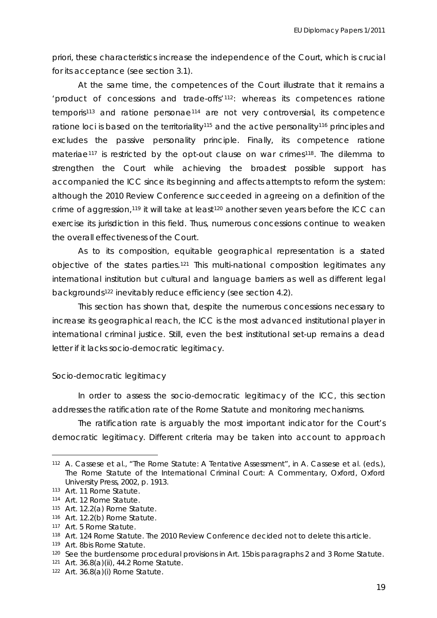priori, these characteristics increase the independence of the Court, which is crucial for its acceptance (see section 3.1).

crime of aggression,<sup>[119](#page-19-7)</sup> it will take at least<sup>120</sup> another seven years before the ICC can exerci se its jurisdiction in this field. Thus, numerous concessions continue to weaken At the same time, the competences of the Court illustrate that it remains a 'product of concessions and trade-offs'[112](#page-19-0): whereas its competences *ratione temporis*[113](#page-19-1) and *ratione personae*[114](#page-19-2) are not very controversial, its competence ratione loci is based on the territoriality<sup>[115](#page-19-3)</sup> and the active personality<sup>[116](#page-19-4)</sup> principles and excludes the passive personality principle. Finally, its competence *ratione materiae*<sup>[117](#page-19-5)</sup> is restricted by the opt-out clause on war crimes<sup>[118](#page-19-6)</sup>. The dilemma to strengthen the Court while achieving the broadest possible support has accompanied the ICC since its beginning and affects attempts to reform the system: although the 2010 Review Conference succeeded in agreeing on a definition of the the overall effectiveness of the Court.

objective of the states parties.<sup>[121](#page-19-8)</sup> This multi-national composition legitimates any interna tional institution but cultural and language barriers as well as different legal As to its composition, equitable geographical representation is a stated backgrounds122 inevitably reduce efficiency (see section 4.2).

increase its geographical reach, the ICC is the most advanced institutional player in international criminal justice. Still, even the best institutional set-up remains a dead letter if it lacks socio-democratic legitimacy. This section has shown that, despite the numerous concessions necessary to

#### *Socio-democratic legitimacy*

In order to assess the socio-democratic legitimacy of the ICC, this section addresses the ratification rate of the Rome Statute and monitoring mechanisms.

The ratification rate is arguably the most important indicator for the Court's democratic legitimacy. Different criteria may be taken into account to approach

<span id="page-19-0"></span> $\overline{a}$ 112 A. Cassese et al., "The Rome Statute: A Tentative Assessment", in A. Cassese et al. (eds.), The Rome Statute of the International Criminal Court: A Commentary, Oxford, Oxford University Press, 2002, p. 1913.

<span id="page-19-1"></span><sup>113</sup> Art. 11 Rome Statute.

<span id="page-19-2"></span><sup>114</sup> Art. 12 Rome Statute.

<span id="page-19-3"></span><sup>115</sup> Art. 12.2(a) Rome Statute.

<span id="page-19-4"></span><sup>116</sup> Art. 12.2(b) Rome Statute.

<span id="page-19-5"></span><sup>117</sup> Art. 5 Rome Statute.

<span id="page-19-6"></span><sup>118</sup> Art. 124 Rome Statute. The 2010 Review Conference decided not to delete this article.

<span id="page-19-7"></span><sup>119</sup> Art. 8bis Rome Statute.

<sup>&</sup>lt;sup>120</sup> See the burdensome procedural provisions in Art. 15bis paragraphs 2 and 3 Rome Statute.

<span id="page-19-8"></span><sup>121</sup> Art. 36.8(a)(ii), 44.2 Rome Statute.

<sup>122</sup> Art. 36.8(a)(i) Rome Statute.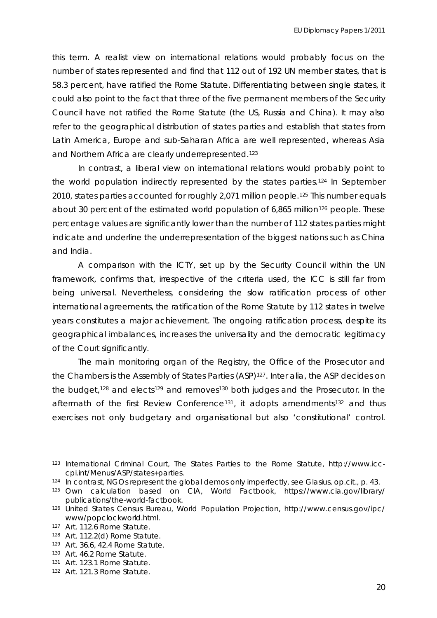this term. A realist view on international relations would probably focus on the number of states represented and find that 112 out of 192 UN member states, that is 58.3 percent, have ratified the Rome Statute. Differentiating between single states, it could also point to the fact that three of the five permanent members of the Security Council have not ratified the Rome Statute (the US, Russia and China). It may also refer to the geographical distribution of states parties and establish that states from Latin A merica, Europe and sub-Saharan Africa are well represented, whereas Asia and Northern Africa are clearly underrepresented.[123](#page-20-0)

percentage values are significantly lower than the number of 112 states parties might indicat e and underline the underrepresentation of the biggest nations such as China In contrast, a liberal view on international relations would probably point to the world population indirectly represented by the states parties.[124](#page-20-1) In September 2010, states parties accounted for roughly 2,071 million people.<sup>[125](#page-20-2)</sup> This number equals about 30 percent of the estimated world population of 6,865 million<sup>[126](#page-20-2)</sup> people. These and India.

years constitutes a major achievement. The ongoing ratification process, despite its geogr aphical imbalances, increases the universality and the democratic legitimacy A comparison with the ICTY, set up by the Security Council within the UN framework, confirms that, irrespective of the criteria used, the ICC is still far from being universal. Nevertheless, considering the slow ratification process of other international agreements, the ratification of the Rome Statute by 112 states in twelve of the Court significantly.

exercises not only budgetary and organisational but also 'constitutional' control. The main monitoring organ of the Registry, the Office of the Prosecutor and the Chambers is the Assembly of States Parties (ASP)[127](#page-20-3). *Inter alia*, the ASP decides on the budget,<sup>[128](#page-20-4)</sup> and elects<sup>[129](#page-20-5)</sup> and removes<sup>[130](#page-20-6)</sup> both judges and the Prosecutor. In the aftermath of the first Review Conference<sup>[131](#page-20-7)</sup>, it adopts amendments<sup>[132](#page-20-8)</sup> and thus

<sup>123</sup> International Criminal Court, *The States Parties to the Rome Statute*, http://www.icccpi.int/Menus/ASP/states+parties.

<span id="page-20-0"></span><sup>124</sup> In contrast, NGOs represent the global *demos* only imperfectly, see Glasius, *op.cit.,* p. 43.

<span id="page-20-1"></span><sup>&</sup>lt;sup>125</sup> Own calculation based on CIA, *World Factbook*, https://www.cia.gov/library/ publications/the-world-factbook.

<span id="page-20-2"></span><sup>&</sup>lt;sup>126</sup> United States Census Bureau, *World Population Projection*, http://www.census.gov/ipc/ www/popclockworld.html.

<span id="page-20-3"></span><sup>127</sup> Art. 112.6 Rome Statute.

<span id="page-20-5"></span><span id="page-20-4"></span><sup>128</sup> Art. 112.2(d) Rome Statute.

<sup>129</sup> Art. 36.6, 42.4 Rome Statute.

<span id="page-20-6"></span><sup>130</sup> Art. 46.2 Rome Statute.

<span id="page-20-7"></span><sup>131</sup> Art. 123.1 Rome Statute.

<span id="page-20-8"></span> 132 Art. 121.3 Rome Statute.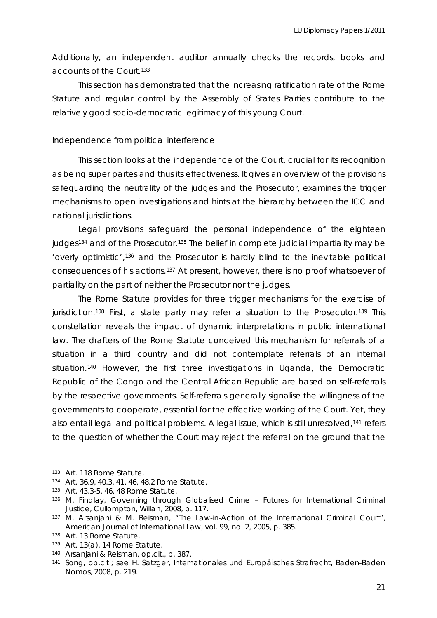Additio nally, an independent auditor annually checks the records, books and accounts of the Court.133

This section has demonstrated that the increasing ratification rate of the Rome Statute and regular control by the Assembly of States Parties contribute to the relatively good socio-democratic legitimacy of this young Court.

#### *Independence from political interference*

safeguarding the neutrality of the judges and the Prosecutor, examines the trigger mecha nisms to open investigations and hints at the hierarchy between the ICC and This section looks at the independence of the Court, crucial for its recognition as being *super partes* and thus its effectiveness. It gives an overview of the provisions national jurisdictions.

'overly optimistic',<sup>[136](#page-21-2)</sup> and the Prosecutor is hardly blind to the inevitable political consequences of his actions.<sup>137</sup> At present, however, there is no proof whatsoever of Legal provisions safeguard the personal independence of the eighteen judges<sup>[134](#page-21-0)</sup> and of the Prosecutor.<sup>[135](#page-21-1)</sup> The belief in complete judicial impartiality may be partiality on the part of neither the Prosecutor nor the judges.

The Rome Statute provides for three trigger mechanisms for the exercise of jurisdiction.<sup>[138](#page-21-4)</sup> First, a state party may refer a situation to the Prosecutor.<sup>[139](#page-21-5)</sup> This constellation reveals the impact of dynamic interpretations in public international law. The drafters of the Rome Statute conceived this mechanism for referrals of a situation in a third country and did not contemplate referrals of an internal situation.<sup>[140](#page-21-6)</sup> However, the first three investigations in Uganda, the Democratic Republic of the Congo and the Central African Republic are based on self-referrals by the respective governments. Self-referrals generally signalise the willingness of the governments to cooperate, essential for the effective working of the Court. Yet, they also entail legal and political problems. A legal issue, which is still unresolved[,141](#page-22-0) refers to the question of whether the Court may reject the referral on the ground that the

<sup>133</sup> Art. 118 Rome Statute.

<span id="page-21-0"></span><sup>134</sup> Art. 36.9, 40.3, 41, 46, 48.2 Rome Statute.

<span id="page-21-1"></span><sup>135</sup> Art. 43.3-5, 46, 48 Rome Statute.

<span id="page-21-2"></span><sup>&</sup>lt;sup>136</sup> M. Findlay, *Governing through Globalised Crime - Futures for International Criminal Justice*, Cullompton, Willan, 2008, p. 117.

<sup>&</sup>lt;sup>137</sup> M. Arsanjani & M. Reisman, "The Law-in-Action of the International Criminal Court", American Journal of International Law, vol. 99, no. 2, 2005, p. 385.

<span id="page-21-3"></span><sup>138</sup> Art. 13 Rome Statute.

<span id="page-21-4"></span><sup>139</sup> Art. 13(a), 14 Rome Statute.

<span id="page-21-6"></span><span id="page-21-5"></span><sup>140</sup> Arsanjani & Reisman, *op.cit.,* p. 387.

<sup>&</sup>lt;sup>141</sup> Song, *op.cit.;* see H. Satzger, *Internationales und Europäisches Strafrecht*, Baden-Baden Nomos, 2008, p. 219.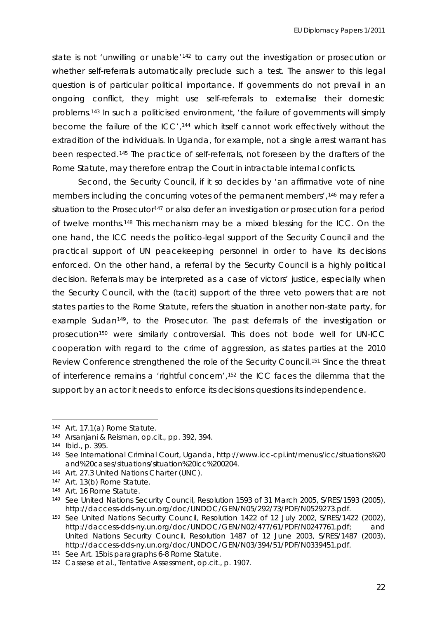state is not 'unwilling or unable<sup>'[142](#page-22-1)</sup> to carry out the investigation or prosecution or whether self-referrals automatically preclude such a test. The answer to this legal question is of particular political importance. If governments do not prevail in an ongoing conflict, they might use self-referrals to externalise their domestic problems.[143](#page-22-2) In such a politicised environment, 'the failure of governments will simply become the failure of the ICC',<sup>[144](#page-22-3)</sup> which itself cannot work effectively without the extrad ition of the individuals. In Uganda, for example, not a single arrest warrant has been respected.[145](#page-22-4) The practice of self-referrals, not foreseen by the drafters of the Rome Statute, may therefore entrap the Court in intractable internal conflicts.

cooperation with regard to the crime of aggression, as states parties at the 2010 Review Conference strengthened the role of the Security Council.<sup>[151](#page-23-0)</sup> Since the threat Second, the Security Council, if it so decides by 'an affirmative vote of nine members including the concurring votes of the permanent members',<sup>146</sup> may refer a situation to the Prosecutor<sup>[147](#page-22-6)</sup> or also defer an investigation or prosecution for a period of twelve months.[148](#page-22-7) This mechanism may be a mixed blessing for the ICC. On the one hand, the ICC needs the politico-legal support of the Security Council and the practical support of UN peacekeeping personnel in order to have its decisions enforced. On the other hand, a referral by the Security Council is a highly political decision. Referrals may be interpreted as a case of victors' justice, especially when the Security Council, with the (tacit) support of the three veto powers that are not states parties to the Rome Statute, refers the situation in another non-state party, for example Sudan<sup>[149](#page-22-8)</sup>, to the Prosecutor. The past deferrals of the investigation or prosecution[150](#page-22-9) were similarly controversial. This does not bode well for UN-ICC of interference remains a 'rightful concern',[152](#page-23-1) the ICC faces the dilemma that the support by an actor it needs to enforce its decisions questions its independence.

<span id="page-22-0"></span><sup>142</sup> Art. 17.1(a) Rome Statute.

<sup>143</sup> Arsanjani & Reisman, *op.cit.*, pp. 392, 394.

<span id="page-22-2"></span><span id="page-22-1"></span><sup>144</sup> *Ibid*., p. 395.

<span id="page-22-3"></span><sup>&</sup>lt;sup>145</sup> See International Criminal Court, *Uganda*, http://www.icc-cpi.int/menus/icc/situations%20 200204. and%20cases/situations/situation%20icc%

<span id="page-22-4"></span><sup>146</sup> Art. 27.3 United Nations Charter (UNC).

<span id="page-22-5"></span><sup>147</sup> Art. 13(b) Rome Statute.

<span id="page-22-6"></span><sup>148</sup> Art. 16 Rome Statute.

<span id="page-22-7"></span><sup>&</sup>lt;sup>149</sup> See United Nations Security Council, *Resolution 1593 of 31 March 2005*, S/RES/1593 (2005), http://daccess-dds-ny.un.org/doc/UNDOC/GEN/N05/292/73/PDF/N0529273.pdf.

<span id="page-22-8"></span><sup>150</sup>  See United Nations Security Council, *Resolution 1422 of 12 July 2002*, S/RES/1422 (2002), United Nations Security Council, *Resolution 1487 of 12 June 2003*, S/RES/1487 (2003), http://daccess-dds-ny.un.org/doc/UNDOC/GEN/N03/394/51/PDF/N0339451.pdf. http://daccess-dds-ny.un.org/doc/UNDOC/GEN/N02/477/61/PDF/N0247761.pdf; and

<span id="page-22-9"></span><sup>151</sup> See Art. 15bis paragraphs 6-8 Rome Statute.

*ssment*, *op.cit*., p. 1907. 152 Cassese et al., *Tentative Asse*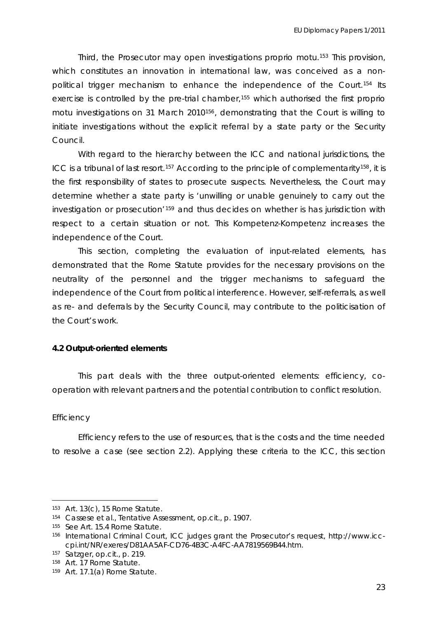Third, the Prosecutor may open investigations *proprio motu.*[153](#page-23-2) This provision, which constitutes an innovation in international law, was conceived as a nonpolitical trigger mechanism to enhance the independence of the Court[.154](#page-23-3) Its exercise is controlled by the pre-trial chamber,155 which authorised the first *proprio*  motu investigations on 31 March 2010<sup>[156](#page-23-4)</sup>, demonstrating that the Court is willing to initiate investigations without the explicit referral by a state party or the Security Council.

determine whether a state party is 'unwilling or unable genuinely to carry out the investi gation or prosecution'159 and thus decides on whether is has jurisdiction with With regard to the hierarchy between the ICC and national jurisdictions, the ICC is a tribunal of last resort.<sup>[157](#page-23-5)</sup> According to the principle of complementarity<sup>[158](#page-23-6)</sup>, it is the first responsibility of states to prosecute suspects. Nevertheless, the Court may respect to a certain situation or not. This *Kompetenz-Kompetenz* increases the independence of the Court.

neutrality of the personnel and the trigger mechanisms to safeguard the independence of the Court from political interference. However, self-referrals, as well as re- and deferrals by the Security Council, may contribute to the politicisation of the Court's work. This section, completing the evaluation of input-related elements, has demonstrated that the Rome Statute provides for the necessary provisions on the

#### **4.2 Output-oriented elements**

This part deals with the three output-oriented elements: efficiency, coopera tion with relevant partners and the potential contribution to conflict resolution.

#### *Efficiency*

 $\overline{a}$ 

Efficiency refers to the use of resources, that is the costs and the time needed to reso lve a case (see section 2.2). Applying these criteria to the ICC, this section

<span id="page-23-1"></span><span id="page-23-0"></span> $153$  Art. 13(c), 15 Rome Statute.

<sup>154</sup> Cassese et al., *Tentative Assessment, op.cit.*, p. 1907.

<span id="page-23-2"></span><sup>155</sup> See Art. 15.4 Rome Statute.

<span id="page-23-3"></span><sup>&</sup>lt;sup>156</sup> International Criminal Court, *ICC judges grant the Prosecutor's request*, http://www.icci cpi. nt/NR/exeres/D81AA5AF-CD76-4B3C-A4FC-AA7819569B44.htm.

<span id="page-23-4"></span><sup>157</sup>  Satzger, *op.cit.*, p. 219.

<span id="page-23-5"></span><sup>158</sup> Art. 17 Rome Statute.

<span id="page-23-6"></span><sup>159</sup>  Art. 17.1(a) Rome Statute.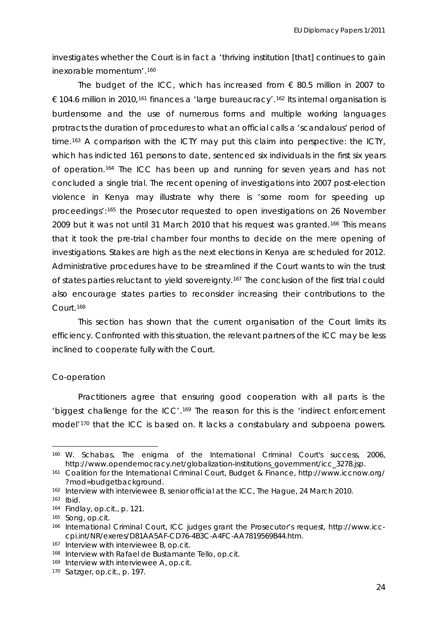investigates whether the Court is in fact a 'thriving institution [that] continues to gain inexorable momentum'.[160](#page-24-0)

The budget of the ICC, which has increased from  $\epsilon$  80.5 million in 2007 to € 104.6 million in 2010,<sup>[161](#page-24-1)</sup> finances a 'large bureaucracy'.<sup>[162](#page-24-2)</sup> Its internal organisation is burdensome and the use of numerous forms and multiple working languages protracts the duration of procedures to what an official calls a 'scandalous' period of time.[163](#page-24-3) A comparison with the ICTY may put this claim into perspective: the ICTY, which has indicted 161 persons to date, sentenced six individuals in the first six years of operation[.164](#page-24-4) The ICC has been up and running for seven years and has not concluded a single trial. The recent opening of investigations into 2007 post-election violence in Kenya may illustrate why there is 'some room for speeding up proceedings':[165](#page-24-5) the Prosecutor requested to open investigations on 26 November 2009 but it was not until 31 March 2010 that his request was granted.<sup>[166](#page-24-6)</sup> This means that it took the pre-trial chamber four months to decide on the mere opening of investigations. Stakes are high as the next elections in Kenya are scheduled for 2012. Admin istrative procedures have to be streamlined if the Court wants to win the trust also encourage states parties to reconsider increasing their contributions to the Court.<sup>168</sup> of states parties reluctant to yield sovereignty.<sup>167</sup> The conclusion of the first trial could

This section has shown that the current organisation of the Court limits its efficie ncy. Confronted with this situation, the relevant partners of the ICC may be less inclined to cooperate fully with the Court.

#### *Co-operation*

Practitioners agree that ensuring good cooperation with all parts is the 'biggest challenge for the ICC'.<sup>[169](#page-25-0)</sup> The reason for this is the 'indirect enforcement model'<sup>[170](#page-25-1)</sup> that the ICC is based on. It lacks a constabulary and subpoena powers.

<sup>160</sup> W. Schabas, *The enigma of the International Criminal Court's success*, 2006, http://www.opendemocracy.net/globalization-institutions\_government/icc\_3278.jsp.

<span id="page-24-0"></span><sup>161</sup> Coalition for the International Criminal Court, *Budget & Finance*, http://www.iccnow.org/ ?mod=budgetbackground.

<span id="page-24-1"></span> $162$  Interview with interviewee B, senior official at the ICC, The Hague, 24 March 2010.

<span id="page-24-2"></span>

<sup>&</sup>lt;sup>163</sup> *Ibid.*<br><sup>164</sup> Findlay, *op.cit.*, p. 121.

<span id="page-24-5"></span><span id="page-24-4"></span><span id="page-24-3"></span><sup>165</sup> Song, *op.cit.*

<sup>&</sup>lt;sup>166</sup> International Criminal Court, *ICC judges grant the Prosecutor's request*, http://www.icccpi.int/NR/exeres/D81AA5AF-CD76-4B3C-A4FC-AA7819569B44.htm.

<span id="page-24-6"></span><sup>167</sup> Interview with interviewee B, *op.cit.*

<sup>&</sup>lt;sup>168</sup> Interview with Rafael de Bustamante Tello, op.cit.

<sup>169</sup> Interview with interviewee A, op.cit.

<sup>.</sup>  170 Satzger, *op.cit.,* p. 197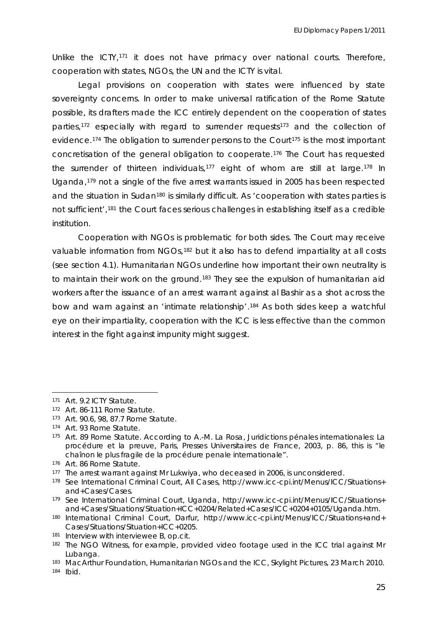Unlike the ICTY,[171](#page-25-2) it does not have primacy over national courts. Therefore, cooperation with states, NGOs, the UN and the ICTY is vital.

Legal provisions on cooperation with *states* were influenced by state sovereignty concerns. In order to make universal ratification of the Rome Statute possible, its drafters made the ICC entirely dependent on the cooperation of states parties,<sup>[172](#page-25-3)</sup> especially with regard to surrender requests<sup>[173](#page-25-4)</sup> and the collection of evidence.<sup>[174](#page-25-5)</sup> The obligation to surrender persons to the Court<sup>[175](#page-25-6)</sup> is the most important concretisation of the general obligation to cooperate.176 The Court has requested the surrender of thirteen individuals,<sup>[177](#page-25-7)</sup> eight of whom are still at large.<sup>[178](#page-25-8)</sup> In Uganda,[179](#page-25-9) not a single of the five arrest warrants issued in 2005 has been respected and the situation in Sudan<sup>[180](#page-25-9)</sup> is similarly difficult. As 'cooperation with states parties is not sufficient'[,181](#page-25-9) the Court faces serious challenges in establishing itself as a credible institution.

(see section 4.1). Humanitarian NGOs underline how important their own neutrality is to maintain their work on the ground.<sup>[183](#page-26-0)</sup> They see the expulsion of humanitarian aid Cooperation with NGOs is problematic for both sides. The Court may receive valuable information from NGOs,<sup>[182](#page-25-9)</sup> but it also has to defend impartiality at all costs workers after the issuance of an arrest warrant against al Bashir as a shot across the bow and warn against an 'intimate relationship'.[184](#page-26-1) As both sides keep a watchful eye on their impartiality, cooperation with the ICC is less effective than the common interest in the fight against impunity might suggest.

<sup>&</sup>lt;sup>171</sup> Art. 9.2 ICTY Statute.<br><sup>172</sup> Art. 86-111 Rome Sta

<span id="page-25-0"></span>Art. 86-111 Rome Statute.

<sup>173</sup> Art. 90.6, 98, 87.7 Rome Statute.

<span id="page-25-2"></span><span id="page-25-1"></span><sup>174</sup> Art. 93 Rome Statute.

<span id="page-25-3"></span>procédure et la preuve, Paris, Presses Universitaires de France, 2003, p. 86, this is "le 175 Art. 89 Rome Statute. According to A.-M. La Rosa, *Juridictions pénales internationales: La*  chaînon le plus fragile de la procédure penale internationale".

<sup>176</sup>  Art. 86 Rome Statute.

<span id="page-25-5"></span><span id="page-25-4"></span><sup>177</sup> The arrest warrant against Mr Lukwiya, who deceased in 2006, is unconsidered.

<span id="page-25-6"></span><sup>&</sup>lt;sup>178</sup> See International Criminal Court, *All Cases*, http://www.icc-cpi.int/Menus/ICC/Situations+ and+Cases/Cases.

and+Cases/Situations/Situation+ICC+0204/Related+Cases/ICC+0204+0105/Uganda.htm. 179 See International Criminal Court, *Uganda*, http://www.icc-cpi.int/Menus/ICC/Situations+

Cases/Situations/Situation+ICC+0205. 180 International Criminal Court, *Darfur*, http://www.icc-cpi.int/Menus/ICC/Situations+and+

<sup>181</sup> Interview with interviewee B, *op.cit.*

<span id="page-25-7"></span><sup>182</sup>  The NGO *Witness*, for example, provided video footage used in the ICC trial against Mr Lubanga.

<span id="page-25-9"></span><span id="page-25-8"></span><sup>&</sup>lt;sup>183</sup> MacArthur Foundation, *Humanitarian NGOs and the ICC*, Skylight Pictures, 23 March 2010. 184 *Ibid*.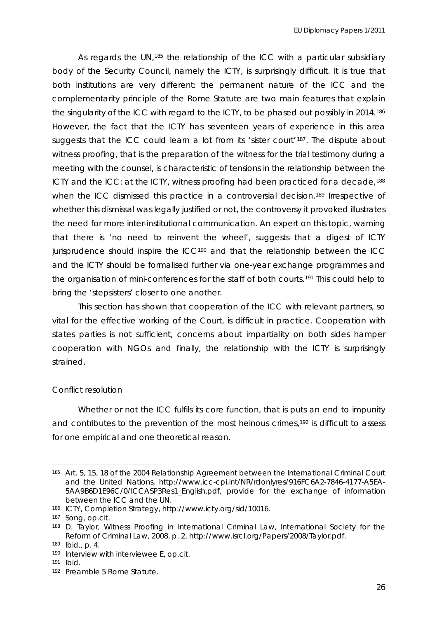As regards the UN,<sup>[185](#page-26-2)</sup> the relationship of the ICC with a particular subsidiary body of the Security Council, namely the ICTY, is surprisingly difficult. It is true that both institutions are very different: the permanent nature of the ICC and the complementarity principle of the Rome Statute are two main features that explain the singularity of the ICC with regard to the ICTY, to be phased out possibly in 2014.<sup>[186](#page-26-3)</sup> However, the fact that the ICTY has seventeen years of experience in this area suggests that the ICC could learn a lot from its 'sister court'<sup>[187](#page-26-4)</sup>. The dispute about witness proofing, that is the preparation of the witness for the trial testimony during a meeting with the counsel, is characteristic of tensions in the relationship between the ICTY and the ICC: at the ICTY, witness proofing had been practiced for a decade,<sup>[188](#page-26-5)</sup> when the ICC dismissed this practice in a controversial decision.<sup>[189](#page-26-6)</sup> Irrespective of whether this dismissal was legally justified or not, the controversy it provoked illustrates the need for more inter-institutional communication. An expert on this topic, warning that t here is 'no need to reinvent the wheel', suggests that a digest of ICTY bring the 'stepsisters' closer to one another. jurisprudence should inspire the ICC<sup>190</sup> and that the relationship between the ICC and the ICTY should be formalised further via one-year exchange programmes and the organisation of mini-conferences for the staff of both courts.<sup>191</sup> This could help to

This section has shown that cooperation of the ICC with relevant partners, so vital for the effective working of the Court, is difficult in practice. Cooperation with states parties is not sufficient, concerns about impartiality on both sides hamper cooperation with NGOs and finally, the relationship with the ICTY is surprisingly strained.

#### *Conflict resolution*

Whether or not the ICC fulfils its core function, that is puts an end to impunity and contributes to the prevention of the most heinous crimes,<sup>[192](#page-27-0)</sup> is difficult to assess for one empirical and one theoretical reason.

<span id="page-26-0"></span><sup>185</sup> Art. 5, 15, 18 of the *2004 Relationship Agreement between the International Criminal Court d Nations*, http://www.icc-cpi.int/NR/rdonlyres/916FC6A2-7846-4177-A5EA-*and the Unite* 5AA9B6D1E96C/0/ICCASP3Res1\_English.pdf, provide for the exchange of information between the ICC and the UN.

<span id="page-26-1"></span><sup>186</sup> ICTY, *Completion Strategy*, http://www.icty.org/sid/10016.

<span id="page-26-3"></span><span id="page-26-2"></span><sup>&</sup>lt;sup>187</sup> Song, *op.cit.*<br><sup>188</sup> D. Taylor, *Witness Proofing in International Criminal Law*, International Society for the Reform of Criminal Law, 2008, p. 2, http://www.isrcl.org/Papers/2008/Taylor.pdf.

<span id="page-26-4"></span><sup>189</sup> *Ibid*., p. 4.

<span id="page-26-5"></span><sup>190</sup> Interview with interviewee E, *op.cit.* 191 *Ibid*.

<span id="page-26-6"></span>

<sup>192</sup>  Preamble 5 Rome Statute.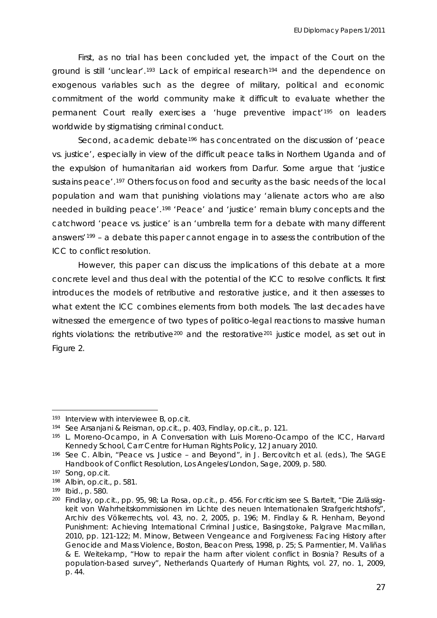First, as no trial has been concluded yet, the impact of the Court on the ground is still 'unclear'.<sup>[193](#page-27-1)</sup> Lack of empirical research<sup>[194](#page-27-2)</sup> and the dependence on exogenous variables such as the degree of military, political and economic commitment of the world community make it difficult to evaluate whether the permanent Court really exercises a 'huge preventive impact'[195](#page-27-3) on leaders worldwide by stigmatising criminal conduct.

Second, academic debate<sup>[196](#page-27-4)</sup> has concentrated on the discussion of 'peace vs. justice', especially in view of the difficult peace talks in Northern Uganda and of the expulsion of humanitarian aid workers from Darfur. Some argue that 'justice sustains peace'.<sup>[197](#page-27-5)</sup> Others focus on food and security as the basic needs of the local population and warn that punishing violations may 'alienate actors who are also needed in building peace'.[198](#page-27-6) 'Peace' and 'justice' remain blurry concepts and the catchword 'peace vs. justice' is an 'umbrella term for a debate with many different answers'[199](#page-27-6) – a debate this paper cannot engage in to assess the contribution of the ICC to conflict resolution.

However, this paper can discuss the implications of this debate at a more concre te level and thus deal with the potential of the ICC to resolve conflicts. It first what extent the ICC combines elements from both models. The last decades have rights violations: the retributive<sup>200</sup> and the restorative<sup>201</sup> justice model, as set out in introduces the models of retributive and restorative justice, and it then assesses to witnessed the emergence of two types of politico-legal reactions to massive human Figure 2.

<span id="page-27-6"></span> $\overline{a}$ 

<span id="page-27-0"></span>Interview with interviewee B, *op.cit.*

See Arsanjani & Reisman, *op.cit.,* p. 403, Findlay, *op.cit.,* p. 121.

<sup>&</sup>lt;sup>193</sup> Interview with interviewee B, *op.cit.*<br><sup>194</sup> See Arsanjani & Reisman, *op.cit.,* p. 403, Findlay, *op.cit.,* p. 121.<br><sup>195</sup> L. Moreno-Ocampo, in *A Conversation with Luis Moreno-Ocampo of the ICC*, Harvard Kennedy School, Carr Centre for Human Rights Policy, 12 January 2010.

<span id="page-27-1"></span><sup>196</sup>  See C. Albin, "Peace vs. Justice – and Beyond", in J. Bercovitch et al. (eds.), *The SAGE Handbook of Conflict Resolution*, Los Angeles/London, Sage, 2009, p. 580.

<span id="page-27-2"></span><sup>197&</sup>lt;br>198<br>199<br>200 197 Song, op.cit.

Albin, *op.cit.*, p. 581.

<span id="page-27-4"></span><span id="page-27-3"></span>*Ibid*., p. 580.

<span id="page-27-5"></span>Archiv des Völkerrechts, vol. 43, no. 2, 2005, p. 196; M. Findlay & R. Henham, Beyond Findlay, *op.cit.*, pp. 95, 98; La Rosa, *op.cit.*, p. 456. For criticism see S. Bartelt, "Die Zulässigkeit von Wahrheitskommissionen im Lichte des neuen Internationalen Strafgerichtshofs", *Punishment: Achieving International Criminal Justice*, Basingstoke, Palgrave Macmillan, 2010, pp. 121-122; M. Minow, *Between Vengeance and Forgiveness: Facing History after Genocide and Mass Violence*, Boston, Beacon Press, 1998, p. 25; S. Parmentier, M. Valiñas & E. Weitekamp, "How to repair the harm after violent conflict in Bosnia? Results of a population-based survey", *Netherlands Quarterly of Human Rights*, vol. 27, no. 1, 2009, p. 44.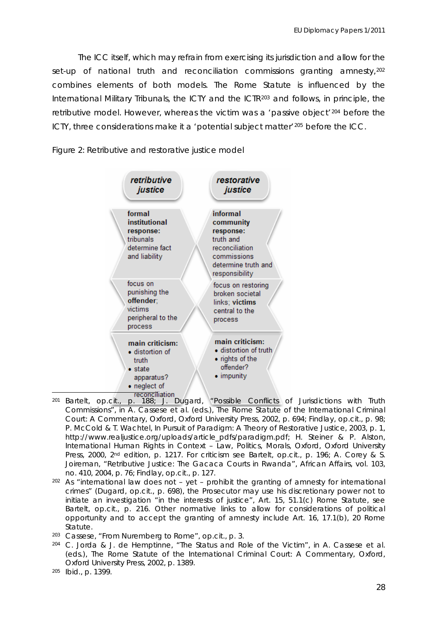The ICC itself, which may refrain from exercising its jurisdiction and allow for the set-up of national truth and reconciliation commissions granting amnesty, [202](#page-28-0) combines elements of both models. The Rome Statute is influenced by the International Military Tribunals, the ICTY and the ICTR<sup>[203](#page-28-1)</sup> and follows, in principle, the retributive model. However, whereas the victim was a 'passive object'<sup>204</sup> before the ICTY, three considerations make it a 'potential subject matter'<sup>205</sup> before the ICC.

#### *Figure 2: Retributive and restorative justice model*



- **reconciliation**<br>1. 188; J. Dugard, "Possible Conflicts of Jurisdictions with Truth Co mmissions", in A. Cassese et al. (eds.), *The Rome Statute of the International Criminal Cour t: A Commentary,* Oxford, Oxford University Press, 2002, p. 694; Findlay, *op.cit.*, p. 98; Joireman, "Retributive Justice: The Gacaca Courts in Rwanda", *African Affairs*, vol. 103, no. 410, 2004, p. 76; Findlay, *op.cit.*, p. 127. <sup>201</sup> Bartelt, *op.cit.*, p. 188; J. Dugard, P. McCold & T. Wachtel, *In Pursuit of Paradigm: A Theory of Restorative Justice*, 2003, p. 1, http://www.realjustice.org/uploads/article\_pdfs/paradigm.pdf; H. Steiner & P. Alston, *International Human Rights in Context – Law, Politics, Morals*, Oxford, Oxford University Press, 2000, 2nd edition, p. 1217. For criticism see Bartelt, *op.cit.,* p. 196; A. Corey & S.
- <span id="page-28-0"></span>202 As "international law does not – yet – prohibit the granting of amnesty for international crimes" (Dugard, *op.cit.,* p. 698), the Prosecutor may use his discretionary power not to initiate an investigation "in the interests of justice", Art. 15, 51.1(c) Rome Statute, see Bartelt, *op.cit.,* p. 216. Other normative links to allow for considerations of political opportunity and to accept the granting of amnesty include Art. 16, 17.1(b), 20 Rome Statute.
- <span id="page-28-1"></span><sup>203</sup> Cassese, "From Nuremberg to Rome", op.cit., p. 3.
- $204$  C. Jorda & J. de Hemptinne, "The Status and Role of the Victim", in A. Cassese et al. (eds.), *The Rome Statute of the International Criminal Court: A Commentary,* Oxford, Oxford University Press, 2002, p. 1389.

<sup>&</sup>lt;sup>205</sup> *Ibid.*, p. 1399.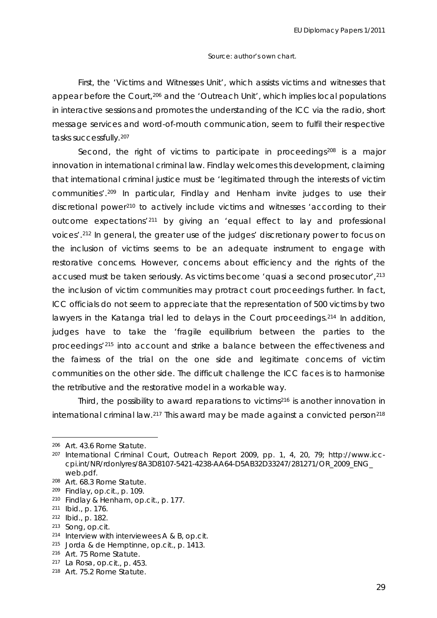#### *Source*: author's own chart.

First, the 'Victims and Witnesses Unit', which assists victims and witnesses that appear before the Court,[206](#page-29-0) and the 'Outreach Unit', which implies local populations in interactive sessions and promotes the understanding of the ICC via the radio, short message services and word-of-mouth communication, seem to fulfil their respective tasks successfully.[207](#page-29-1)

[Second, the right of victims to participate in proceedings](#page-29-1)<sup>208</sup> is a major [innovation in international criminal law.](#page-29-2) *Findlay* welcomes this development, claiming [that international criminal justice must be 'legitimated through the interests of victim](#page-29-2)  [communities'.](#page-29-2)209 In particular, *Findlay and Henham* [invite judges to use their](#page-29-3)  [discretional power](#page-29-3)210 [to actively include victims and witnesses 'according to their](#page-29-4)  [outcome expectations'](#page-29-4)211 [by giving an 'equal effect to lay and professional](#page-29-5)  [voices'.](#page-29-5)212 [In general, the greater use of the judges' discretionary power to focus on](#page-29-6)  [the inclusion of victims seems to be an adequate instrument to engage with](#page-29-6)  [restorative concerns. However, concerns about efficiency and the rights of the](#page-29-6)  [accused must be taken seriously. As victims become 'quasi a second prosecutor',](#page-29-6) 213 [the inclusion of victim communities may protract court proce](#page-29-7)edings further. In fact, ICC of ficials do not seem to appreciate that the representation of 500 victims by two lawyers in the Katanga trial led to delays in the Court proceedings.<sup>[214](#page-29-8)</sup> In addition, judges have to take the 'fragile equilibrium between the parties to the proceedings'[215](#page-29-9) into account and strike a balance between the effectiveness and the fairness of the trial on the one side and legitimate concerns of victim communities on the other side. The difficult challenge the ICC faces is to harmonise the retributive and the restorative model in a workable way.

Third, the possibility to award reparations to victims<sup>216</sup> is another innovation in international criminal law.<sup>217</sup> This award may be made against a convicted person<sup>218</sup>

<sup>206</sup> Art. 43.6 Rome Statute.

<sup>&</sup>lt;sup>207</sup> International Criminal Court, *Outreach Report 2009*, pp. 1, 4, 20, 79; http://www.icccpi.int/NR/rdonlyres/8A3D8107-5421-4238-AA64-D5AB32D33247/281271/OR\_2009\_ENG\_ web.pdf.

<span id="page-29-0"></span><sup>&</sup>lt;sup>208</sup> Art. 68.3 Rome Statute.

<sup>209</sup> Findlay, *op.cit.*, p. 109.

<span id="page-29-2"></span><span id="page-29-1"></span><sup>210</sup> Findlay & Henham, *op.cit.,* p. 177.

<span id="page-29-3"></span><sup>211</sup> *Ibid*., p. 176.

<span id="page-29-5"></span><span id="page-29-4"></span><sup>212</sup> *Ibid*., p. 182.

<span id="page-29-6"></span>

<sup>&</sup>lt;sup>213</sup> Song, *op.cit.*<br><sup>214</sup> Interview with interviewees A & B, *op.cit.* 

*it.,* p. 1413. 215 Jorda & de Hemptinne, *op.c*

<span id="page-29-9"></span><span id="page-29-8"></span><span id="page-29-7"></span><sup>216</sup> Art. 75 Rome Statute.

<sup>217</sup> La Rosa, *op.cit.*, p. 453.

<sup>218</sup> Art. 75.2 Rome Statute.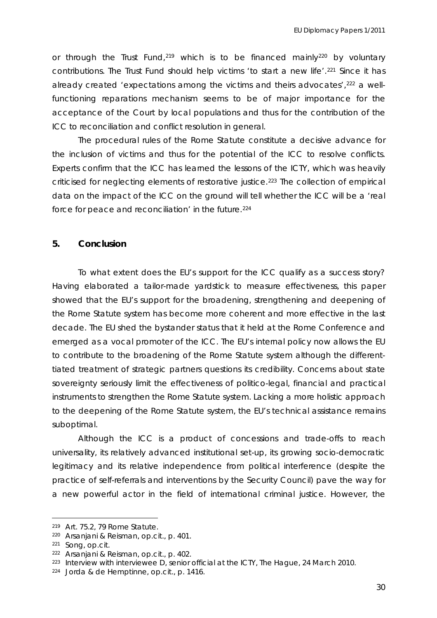or through the Trust Fund,<sup>[219](#page-30-0)</sup> which is to be financed mainly<sup>[220](#page-30-1)</sup> by voluntary ICC to reconciliation and conflict resolution in general. contributions. The Trust Fund should help victims 'to start a new life'.<sup>[221](#page-30-1)</sup> Since it has already created 'expectations among the victims and theirs advocates',<sup>[222](#page-30-1)</sup> a wellfunctioning reparations mechanism seems to be of major importance for the acceptance of the Court by local populations and thus for the contribution of the

The procedural rules of the Rome Statute constitute a decisive advance for the inclusion of victims and thus for the potential of the ICC to resolve conflicts. Experts confirm that the ICC has learned the lessons of the ICTY, which was heavily criticised for neglecting elements of restorative justice.223 The collection of empirical data on the impact of the ICC on the ground will tell whether the ICC will be a 'real force for peace and reconciliation' in the future.<sup>224</sup>

#### **5. Conclusion**

emerged as a vocal promoter of the ICC. The EU's internal policy now allows the EU to con tribute to the broadening of the Rome Statute system although the different-To what extent does the EU's support for the ICC qualify as a success story? Having elaborated a tailor-made yardstick to measure effectiveness, this paper showed that the EU's support for the broadening, strengthening and deepening of the Rome Statute system has become more coherent and more effective in the last decade. The EU shed the bystander status that it held at the Rome Conference and tiated treatment of strategic partners questions its credibility. Concerns about state sovereignty seriously limit the effectiveness of politico-legal, financial and practical instruments to strengthen the Rome Statute system. Lacking a more holistic approach to the deepening of the Rome Statute system, the EU's technical assistance remains suboptimal.

Although the ICC is a product of concessions and trade-offs to reach universality, its relatively advanced institutional set-up, its growing socio-democratic legitimacy and its relative independence from political interference (despite the practice of self-referrals and interventions by the Security Council) pave the way for a new powerful actor in the field of international criminal justice. However, the

 $\overline{a}$ 

<sup>&</sup>lt;sup>219</sup> Art. 75.2, 79 Rome Statute.

<sup>220</sup> Arsanjani & Reisman, *op.cit.,* p. 401.

<sup>221</sup> Song, *op.cit.*

<sup>222</sup> Arsanjani & Reisman, *op.cit.,* p. 402.

<span id="page-30-0"></span><sup>223</sup> Interview with interviewee D, senior official at the ICTY, The Hague, 24 March 2010*.* 224 Jorda & de Hemptinne, *op.cit.,* p. 1416.

<span id="page-30-1"></span>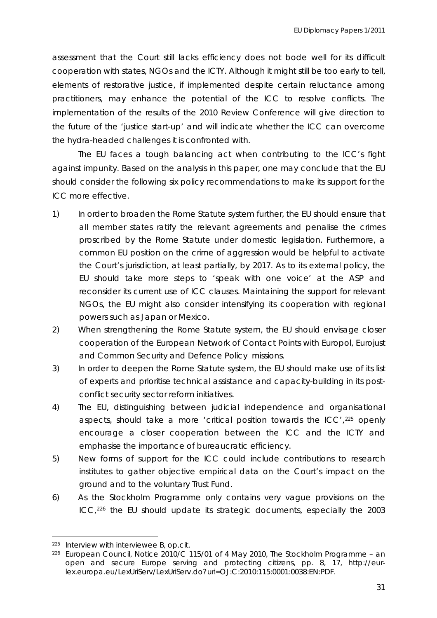assessment that the Court still lacks efficiency does not bode well for its difficult cooperation with states, NGOs and the ICTY. Although it might still be too early to tell, elements of restorative justice, if implemented despite certain reluctance among practitioners, may enhance the potential of the ICC to resolve conflicts. The implementation of the results of the 2010 Review Conference will give direction to the future of the 'justice start-up' and will indicate whether the ICC can overcome the hydra-headed challenges it is confronted with.

The EU faces a tough balancing act when contributing to the ICC's fight against impunity. Based on the analysis in this paper, one may conclude that the EU should consider the following six policy recommendations to make its support for the ICC more effective.

- all member states ratify the relevant agreements and penalise the crimes the Court's jurisdiction, at least partially, by 2017. As to its external policy, the 1) In order to *broaden* the Rome Statute system further, the EU should ensure that proscribed by the Rome Statute under domestic legislation. Furthermore, a common EU position on the crime of aggression would be helpful to activate EU should take more steps to 'speak with one voice' at the ASP and reconsider its current use of ICC clauses. Maintaining the support for relevant NGOs, the EU might also consider intensifying its cooperation with regional powers such as Japan or Mexico.
- and Common Security and Defence Policy missions. 2) When *strengthening* the Rome Statute system, the EU should envisage closer cooperation of the European Network of Contact Points with Europol, Eurojust
- 3) In order to *deepen* the Rome Statute system, the EU should make use of its list of experts and prioritise technical assistance and capacity-building in its postconflict security sector reform initiatives.
- 4) The EU, distinguishing between judicial independence and organisational aspects, should take a more 'critical position towards the ICC', 225 openly encourage a closer cooperation between the ICC and the ICTY and emphasise the importance of bureaucratic efficiency.
- 5) New forms of *support* for the ICC could include contributions to research institutes to gather objective empirical data on the Court's impact on the ground and to the voluntary Trust Fund.
- 6) As the Stockholm Programme only contains very vague provisions on the ICC,226 the EU should update its *strategic documents*, especially the 2003

<sup>225</sup> Interview with interviewee B, *op.cit.*

<sup>226</sup> European Council, *Notice 2010/C 115/01 of 4 May 2010, The Stockholm Programme – an open and secure Europe serving and protecting citizens*, pp. 8, 17, http://eurlex.europa.eu/LexUriServ/LexUriServ.do?uri=OJ:C:2010:115:0001:0038:EN:PDF.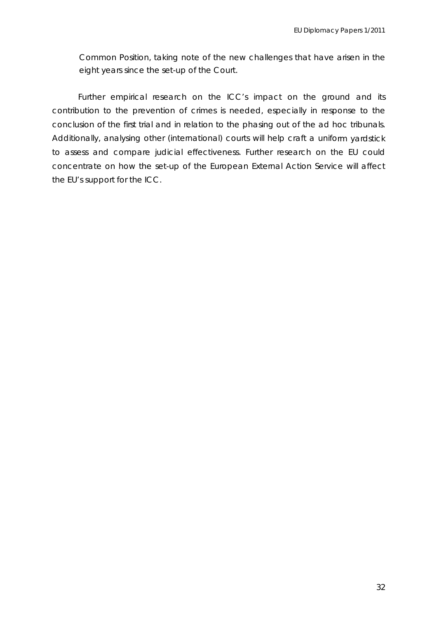Common Position, taking note of the new challenges that have arisen in the eight years since the set-up of the Court.

Additionally, analysing other (international) courts will help craft a uniform yardstick Further empirical research on the ICC's impact on the ground and its contribution to the prevention of crimes is needed, especially in response to the conclusion of the first trial and in relation to the phasing out of the *ad hoc* tribunals. to assess and compare judicial effectiveness. Further research on the EU could concentrate on how the set-up of the European External Action Service will affect the EU's support for the ICC.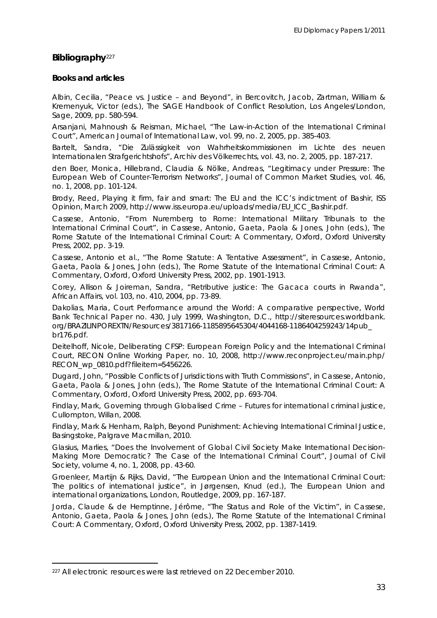#### **Bibliography**<sup>227</sup>

#### **Books and articles**

Kremenyuk, Victor (eds.), *The SAGE Handbook of Conflict Resolution*, Los Angeles/London, Albin, Cecilia, "Peace vs. Justice – and Beyond", in Bercovitch, Jacob, Zartman, William & Sage, 2009, pp. 580-594.

Arsanjani, Mahnoush & Reisman, Michael, "The Law-in-Action of the International Criminal Court", *American Journal of International Law*, vol. 99, no. 2, 2005, pp. 385-403.

Internationalen Strafgerichtshofs", *Archiv des Völkerrechts*, vol. 43, no. 2, 2005, pp. 187-217. Bartelt, Sandra, "Die Zulässigkeit von Wahrheitskommissionen im Lichte des neuen

European Web of Counter-Terrorism Networks", *Journal of Common Market Studies*, vol. 46, den Boer, Monica, Hillebrand, Claudia & Nölke, Andreas, "Legitimacy under Pressure: The no. 1, 2008, pp. 101-124.

Opinion, March 2009, http://www.iss.europa.eu/uploads/media/EU\_ICC\_Bashir.pdf. Brody, Reed, *Playing it firm, fair and smart: The EU and the ICC's indictment of Bashir*, ISS

*Rome Statute of the International Criminal Court: A Commentary, Oxford, Oxford University* Cassese, Antonio, "From Nuremberg to Rome: International Military Tribunals to the International Criminal Court", in Cassese, Antonio, Gaeta, Paola & Jones, John (eds.), *The*  Press, 2002, pp. 3-19.

Gaeta, Paola & Jones, John (eds.), *The Rome Statute of the International Criminal Court: A* Cassese, Antonio et al., "The Rome Statute: A Tentative Assessment", in Cassese, Antonio, *Commentary,* Oxford, Oxford University Press, 2002, pp. 1901-1913.

Corey, Allison & Joireman, Sandra, "Retributive justice: The Gacaca courts in Rwanda", *African Affairs,* vol. 103, no. 410, 2004, pp. 73-89.

Dakolias, Maria, Court Performance around the World: A comparative perspective, World *Bank Technical Paper* no. 430, July 1999, Washington, D.C., http://siteresources.worldbank. org/BRAZILINPOREXTN/Resources/3817166-1185895645304/4044168-1186404259243/14pub\_ br176.pdf.

Deitelhoff, Nicole, Deliberating CFSP: European Foreign Policy and the International Criminal Court, *RECON Online Working Paper*, no. 10, 2008, http://www.reconproject.eu/main.php/ RECON\_wp\_0810.pdf?fileitem=5456226.

Dugard, John, "Possible Conflicts of Jurisdictions with Truth Commissions", in Cassese, Antonio, Gaeta, Paola & Jones, John (eds.), *The Rome Statute of the International Criminal Court: A Commentary,* Oxford, Oxford University Press, 2002, pp. 693-704.

Findlay, Mark, *Governing through Globalised Crime – Futures for international criminal justice*, Cullompton, Willan, 2008.

Findlay, Mark & Henham, Ralph, *Beyond Punishment: Achieving International Criminal Justice*, Basingstoke, Palgrave Macmillan, 2010.

Glasius, Marlies, "Does the Involvement of Global Civil Society Make International Decision-Making More Democratic? The Case of the International Criminal Court", *Journal of Civil Society,* volume 4, no. 1, 2008, pp. 43-60.

Groenleer, Martijn & Rijks, David, "The European Union and the International Criminal Court: The politics of international justice", in Jørgensen, Knud (ed.), *The European Union and international organizations*, London, Routledge, 2009, pp. 167-187.

Jorda, Claude & de Hemptinne, Jérôme, "The Status and Role of the Victim", in Cassese, Antonio, Gaeta, Paola & Jones, John (eds.), *The Rome Statute of the International Criminal Court: A Commentary,* Oxford, Oxford University Press, 2002, pp. 1387-1419.

<sup>227</sup> All electronic resources were last retrieved on 22 December 2010.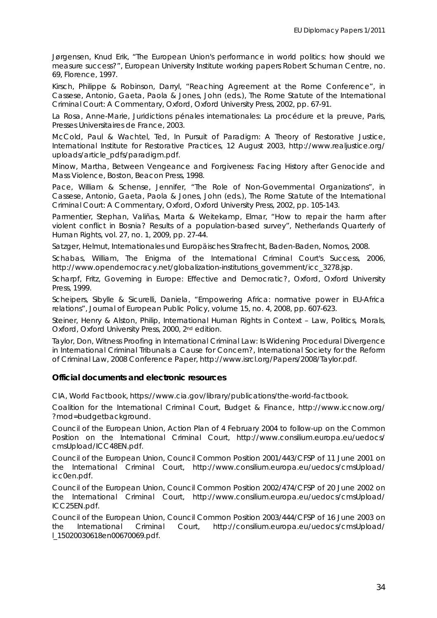Jørgensen, Knud Erik, "The European Union's performance in world politics: how should we measure success?", *European University Institute working papers Robert Schuman Centre,* no. 69, Florence, 1997.

Kirsch, Philippe & Robinson, Darryl, "Reaching Agreement at the Rome Conference", in Cassese, Antonio, Gaeta, Paola & Jones, John (eds.), *The Rome Statute of the International Criminal Court: A Commentary,* Oxford, Oxford University Press, 2002, pp. 67-91.

La Rosa, Anne-Marie, *Juridictions pénales internationales: La procédure et la preuve*, Paris, Presses Universitaires de France, 2003.

McCold, Paul & Wachtel, Ted, *In Pursuit of Paradigm: A Theory of Restorative Justice*, International Institute for Restorative Practices, 12 August 2003, http://www.realjustice.org/ uploads/article\_pdfs/paradigm.pdf.

Minow, Martha, *Between Vengeance and Forgiveness: Facing History after Genocide and Mass Violence*, Boston, Beacon Press, 1998.

Pace, William & Schense, Jennifer, "The Role of Non-Governmental Organizations", in Cassese, Antonio, Gaeta, Paola & Jones, John (eds.), *The Rome Statute of the International Criminal Court: A Commentary,* Oxford, Oxford University Press, 2002, pp. 105-143.

Parmentier, Stephan, Valiñas, Marta & Weitekamp, Elmar, "How to repair the harm after violent conflict in Bosnia? Results of a population-based survey", *Netherlands Quarterly of Human Rights*, vol. 27, no. 1, 2009, pp. 27-44.

Satzger, Helmut, *Internationales und Europäisches Strafrecht*, Baden-Baden, Nomos, 2008.

Schabas, William, *The Enigma of the International Criminal Court's Success*, 2006, http://www.opendemocracy.net/globalization-institutions\_government/icc\_3278.jsp.

Scharpf, Fritz, *Governing in Europe: Effective and Democratic?*, Oxford, Oxford University Press, 1999.

Scheipers, Sibylle & Sicurelli, Daniela, "Empowering Africa: normative power in EU-Africa relations", *Journal of European Public Policy*, volume 15, no. 4, 2008, pp. 607-623.

Steiner, Henry & Alston, Philip, *International Human Rights in Context – Law, Politics, Morals*, Oxford, Oxford University Press, 2000, 2<sup>nd</sup> edition.

Taylor, Don, *Witness Proofing in International Criminal Law: Is Widening Procedural Divergence in International Criminal Tribunals a Cause for Concern?*, International Society for the Reform of Criminal Law, 2008 Conference Paper, http://www.isrcl.org/Papers/2008/Taylor.pdf.

#### **Official documents and electronic resources**

*tbook*, https://www.cia.gov/library/publications/the-world-factbook. CIA, *World Fac*

Coalition for the International Criminal Court, *Budget & Finance*, http://www.iccnow.org/ ?mod=budgetbackground.

Position on the International Criminal Court, http://www.consilium.europa.eu/uedocs/ Council of the European Union, *Action Plan of 4 February 2004 to follow-up on the Common*  cmsUpload/ICC48EN.pdf.

*n*  Council of the European Union, *Council Common Position 2001/443/CFSP of 11 June 2001 o the International Criminal Court*, http://www.consilium.europa.eu/uedocs/cmsUpload/ icc0en.pdf.

the International Criminal Court, http://www.consilium.europa.eu/uedocs/cmsUpload/ Council of the European Union, *Council Common Position 2002/474/CFSP of 20 June 2002 on*  ICC25EN.pdf.

Council of the European Union, *Council Common Position 2003/444/CFSP of 16 June 2003 on the International Criminal Court*, http://consilium.europa.eu/uedocs/cmsUpload/ l\_15020030618en00670069.pdf.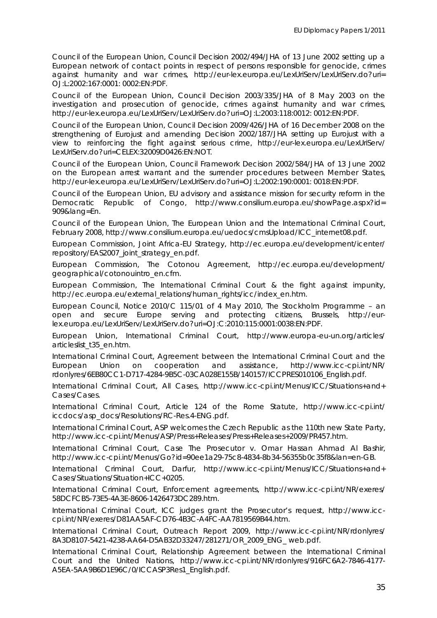Council of the European Union, *Council Decision 2002/494/JHA of 13 June 2002 setting up a European network of contact points in respect of persons responsible for genocide, crimes against humanity and war crimes*, http://eur-lex.europa.eu/LexUriServ/LexUriServ.do?uri= OJ:L:2002:167:0001: 0002:EN:PDF.

http://eur-lex.europa.eu/LexUriServ/LexUriServ.do?uri=OJ:L:2003:118:0012: 0012:EN:PDF. Council of the European Union, *Council Decision 2003/335/JHA of 8 May 2003 on the investigation and prosecution of genocide, crimes against humanity and war crimes*,

*cision 2002/187/JHA setting up Eurojust with a strengthening of Eurojust and amending De* LexUriServ.do?uri=CELEX:32009D0426:EN:NOT. Council of the European Union, *Council Decision 2009/426/JHA of 16 December 2008 on the view to reinforcing the fight against serious crime*, http://eur-lex.europa.eu/LexUriServ/

on the European arrest warrant and the surrender procedures between Member States, Council of the European Union, *Council Framework Decision 2002/584/JHA of 13 June 2002*  http://eur-lex.europa.eu/LexUriServ/LexUriServ.do?uri=OJ:L:2002:190:0001: 0018:EN:PDF.

Council of the European Union, *EU advisory and assistance mission for security reform in the Democratic Republic of Congo*, http://www.consilium.europa.eu/showPage.aspx?id= 909&lang=En.

February 2008, http://www.consilium.europa.eu/uedocs/cmsUpload/ICC\_internet08.pdf. Council of the European Union, *The European Union and the International Criminal Court*,

repository/EAS2007\_joint\_strategy\_en.pdf. European Commission, *Joint Africa-EU Strategy*, http://ec.europa.eu/development/icenter/

European Commission, *The Cotonou Agreement*, http://ec.europa.eu/development/ geographical/cotonouintro\_en.cfm.

European Commission, *The International Criminal Court & the fight against impunity*, http://ec.europa.eu/external\_relations/human\_rights/icc/index\_en.htm.

European Council, *Notice 2010/C 115/01 of 4 May 2010*, *The Stockholm Programme – an open and secure Europe serving and protecting citizens*, Brussels, http://eurlex.europa.eu/LexUriServ/LexUriServ.do?uri=OJ:C:2010:115:0001:0038:EN:PDF.

European Union, *International Criminal Court*, http://www.europa-eu-un.org/articles/ articleslist\_t35\_en.htm.

http://www.icc-cpi.int/NR/ rdonlyres/6EB80CC1-D717-4284-9B5C-03CA028E155B/140157/ICCPRES010106\_English.pdf. International Criminal Court, *Agreement between the International Criminal Court and the*  European Union on cooperation and assistance,

International Criminal Court, All Cases, http://www.icc-cpi.int/Menus/ICC/Situations+and+ Cases/Cases.

International Criminal Court, *Article 124 of the Rome Statute*, http://www.icc-cpi.int/ iccdocs/asp\_docs/Resolutions/RC-Res.4-ENG.pdf.

International Criminal Court, *ASP welcomes the Czech Republic as the 110th new State Party*, . http://www.icc-cpi.int/Menus/ASP/Press+Releases/Press+Releases+2009/PR457.htm

*shir*, International Criminal Court, *Case The Prosecutor v. Omar Hassan Ahmad Al Ba* http://www.icc-cpi.int/Menus/Go?id=90ee1a29-75c8-4834-8b34-56355b0c35f8&lan=en-GB.

International Criminal Court, *Darfur*, http://www.icc-cpi.int/Menus/ICC/Situations+and+ Cases/Situations/Situation+ICC+0205.

International Criminal Court, *Enforcement agreements*, http://www.icc-cpi.int/NR/exeres/ 8DCFCB5-73E5-4A3E-8606-1426473DC289.htm. 5

International Criminal Court, *ICC judges grant the Prosecutor's request*, http://www.icccpi.int/NR/exeres/D81AA5AF-CD76-4B3C-A4FC-AA7819569B44.htm.

International Criminal Court, *Outreach Report 2009*, http://www.icc-cpi.int/NR/rdonlyres/ 8A3D8107-5421-4238-AA64-D5AB32D33247/281271/OR\_2009\_ENG\_ web.pdf.

International Criminal Court, *Relationship Agreement between the International Criminal Court and the United Nations*, http://www.icc-cpi.int/NR/rdonlyres/916FC6A2-7846-4177- A5EA-5AA9B6D1E96C/0/ICCASP3Res1\_English.pdf.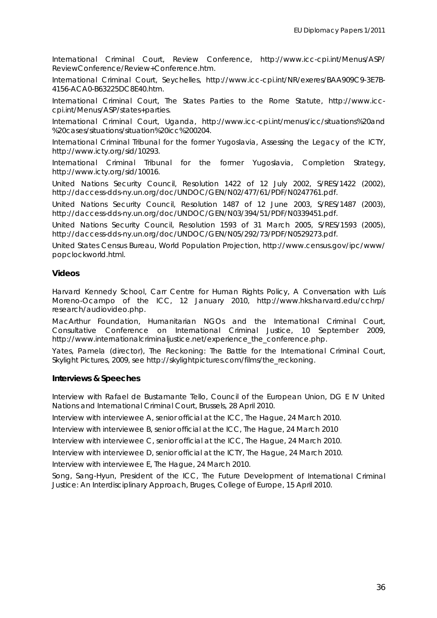International Criminal Court, *Review Conference*, http://www.icc-cpi.int/Menus/ASP/ ReviewConference/Review +Conference.htm.

International Criminal Court, Seychelles, http://www.icc-cpi.int/NR/exeres/BAA909C9-3E7B-4156-ACA0-B63225DC8E40.htm.

International Criminal Court, *The States Parties to the Rome Statute*, http://www.icccpi.int/Menus/ASP/states+parties.

International Criminal Court, *Uganda*, http://www.icc-cpi.int/menus/icc/situations%20and %20cases/situations/situation%20icc%200204.

International Criminal Tribunal for the former Yugoslavia, *Assessing the Legacy of the ICTY*, http://www.icty.org/sid/10293.

International Criminal Tribunal for the former Yugoslavia, *Completion Strategy*, http://www.icty.org/sid/10016.

United Nations Security Council, *Resolution 1422 of 12 July 2002*, S/RES/1422 (2002), http://daccess-dds-ny.un.org/doc/UNDOC/GEN/N02/477/61/PDF/N0247761.pdf.

United Nations Security Council, *Resolution 1487 of 12 June 2003*, S/RES/1487 (2003), http://daccess-dds-ny.un.org/doc/UNDOC/GEN/N03/394/51/PDF/N0339451.pdf.

, United Nations Security Council, *Resolution 1593 of 31 March 2005*, S/RES/1593 (2005) http://daccess-dds-ny.un.org/doc/UNDOC/GEN/N05/292/73/PDF/N0529273.pdf.

/ United States Census Bureau, *World Population Projection*, http://www.census.gov/ipc/www popclockworld.html.

#### **Videos**

Harvard Kennedy School, Carr Centre for Human Rights Policy, *A Conversation with Luís Moreno-Ocampo of the ICC*, 12 January 2010, http://www.hks.harvard.edu/cchrp/ research/audiovideo.php.

MacArthur Foundation, *Humanitarian NGOs and the International Criminal Court*, *tive Conference on International Criminal Justice*, 10 September 2009, *Consulta* http://www.internationalcriminaljustice.net/experience\_the\_conference.php.

Yates, Pamela (director), *The Reckoning: The Battle for the International Criminal Court*, Skylight Pictures, 2009, see http://skylightpictures.com/films/the\_reckoning.

#### **Interviews & Speeches**

Interview with Rafael de Bustamante Tello, Council of the European Union, DG E IV United Nations and International Criminal Court, Brussels, 28 April 2010.

Interview with interviewee A, senior official at the ICC, The Hague, 24 March 2010.

Interview with interviewee B, senior official at the ICC, The Hague, 24 March 2010

Interview with interviewee C, senior official at the ICC, The Hague, 24 March 2010.

Interview with interviewee D, senior official at the ICTY, The Hague, 24 March 2010.

Interview with interviewee E, The Hague, 24 March 2010.

Song, Sang-Hyun, President of the ICC, *The Future Development of International Criminal* Justice: An Interdisciplinary Approach, Bruges, College of Europe, 15 April 2010.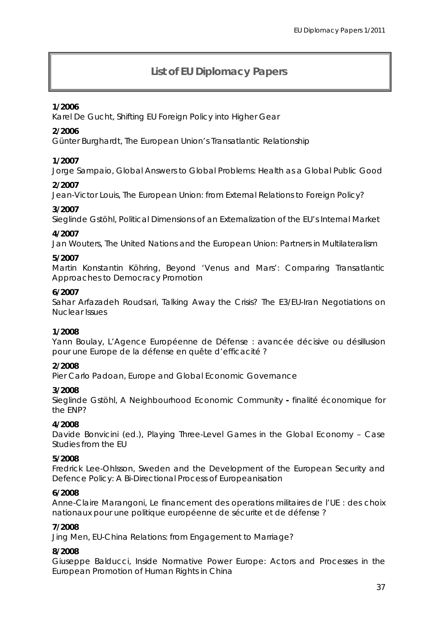### **List of EU Diplomacy Papers**

#### **1/2006**

Karel De Gucht, *Shifting EU Foreign Policy into Higher Gear*

#### **2/2006**

Günter Burghardt, *The European Union's Transatlantic Relationship* 

#### **1/2007**

, *Global Answers to Global Problems: Health as a Global Public Good*  Jorge Sampaio

#### **2/2007**

Jean-Victor Louis, *The European Union: from External Relations to Foreign Policy?*

#### **3/2007**

Sieglinde Gstöhl, *Political Dimensions of an Externalization of the EU's Internal Market* 

#### **4/2007**

Jan Wouters, *The United Nations and the European Union: Partners in Multilateralism* 

#### **5/2007**

Martin Konstantin Köhring, Beyond 'Venus and Mars': Comparing Transatlantic *ches to Democracy Promotion Approa*

#### **6/2007**

Sahar Arfazadeh Roudsari, *Talking Away the Crisis? The E3/EU-Iran Negotiations on Nuclear Issues* 

#### **/2008 1**

Yann Boulay, *L'Agence Européenne de Défense : avancée décisive ou désillusion pour une Europe de la défense en quête d'efficacité ?* 

#### **2/2008**

Pier Carlo Padoan, *Europe and Global Economic Governance* 

#### **3/2008**

Sieglinde Gstöhl, *A Neighbourhood Economic Community* - finalité économique for *? the ENP*

#### **4/2008**

Davide Bonvicini (ed.), *Playing Three-Level Games in the Global Economy - Case Studies from the EU* 

#### **5/2008**

Fredrick Lee-Ohlsson, Sweden and the Development of the European Security and *Defence Policy: A Bi-Directional Process of Europeanisation* 

#### **6/2008**

*politique* européenne *de sécurite et de défense ?*  nationaux *pour une*  Anne-Claire Marangoni, *Le financement des operations militaires de l'UE : des choix* 

#### **7/2008**

Jing Men, *EU-China Relations: from Engagement to Marriage?* 

#### **8/2008**

Giuseppe Balducci, *Inside Normative Power Europe: Actors and Processes in the European Promotion of Human Rights in China*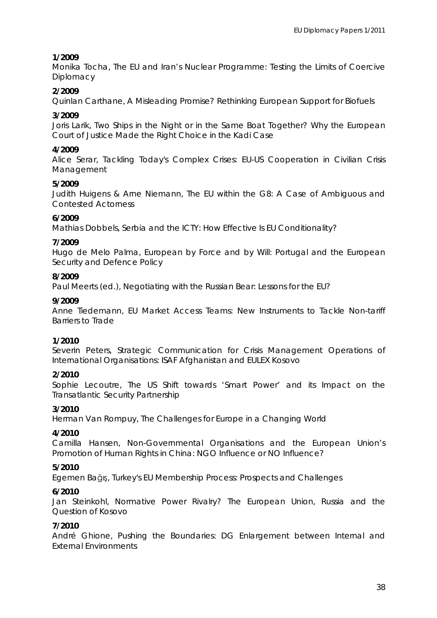#### **1/2009**

Monika Tocha, *The EU and Iran's Nuclear Programme: Testing the Limits of Coercive Diplomacy* 

#### **2/2009**

Quinlan Carthane, *A Misleading Promise? Rethinking European Support for Biofuels* 

#### **3/2009**

Joris Larik, *Two Ships in the Night or in the Same Boat Together? Why the European Court of Justice Made the Right Choice in the Kadi Case* 

#### **4/2009**

Alice Serar, *Tackling Today's Complex Crises: EU-US Cooperation in Civilian Crisis Management* 

#### **5/2009**

Judith Huigens & Arne Niemann, *The EU within the G8: A Case of Ambiguous and ontested Actorness C*

#### **6/2009**

Mathias Dobbels, *Serbia and the ICTY: How Effective Is EU Conditionality?* 

#### **7/2009**

Hugo de Melo Palma, *European by Force and by Will: Portugal and the European Security and Defence Policy* 

#### **8/2009**

Paul Meerts (ed.), *Negotiating with the Russian Bear: Lessons for the EU?* 

#### **9/2009**

Anne Tiedemann, *EU Market Access Teams: New Instruments to Tackle Non-tariff Barriers to Trade* 

#### **1/2010**

Severin Peters, *Strategic Communication for Crisis Management Operations of International Organisations: ISAF Afghanistan and EULEX Kosovo*

#### **2/2010**

Sophie Lecoutre, *The US Shift towards 'Smart Power' and its Impact on the Transatlantic Security Partnership*

#### **3/2010**

Herman Van Rompuy, *The Challenges for Europe in a Changing World* 

#### **4/2010**

Camilla Hansen, *Non-Governmental Organisations and the European Union's Promotion of Human Rights in China: NGO Influence or NO Influence?* 

#### **5/2010**

Egemen Bağış, *Turkey's EU Membership Process: Prospects and Challenges* 

#### **6/2010**

Jan Steinkohl, *Normative Power Rivalry? The European Union, Russia and the Question of Kosovo* 

#### **7/2010**

André Ghione, *Pushing the Boundaries: DG Enlargement between Internal and External Environments*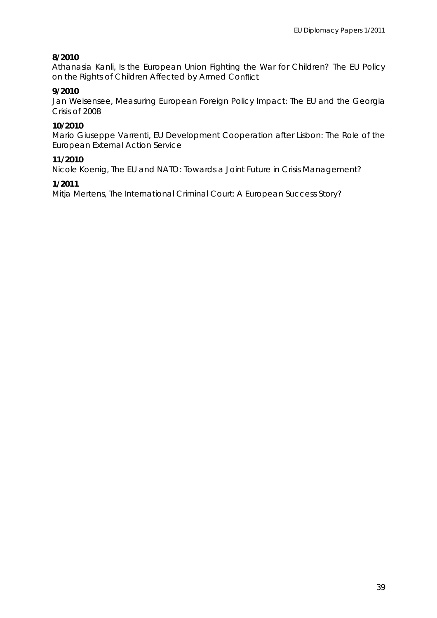#### **8/2010**

Athanasia Kanli, *Is the European Union Fighting the War for Children? The EU Policy on the Rights of Children Affected by Armed Co nflict* 

#### **9/2010**

Jan Weisensee, Measuring European Foreign Policy Impact: The EU and the Georgia *Crisis of 2008* 

#### **10/2010**

Mario Giuseppe Varrenti, *EU Development Cooperation after Lisbon: The Role of the European External Action Service* 

#### **11/2010**

Nicole Koenig, *The EU and NATO: Towards a Joint Future in Crisis Management?* 

#### **1/2011**

Mitja Mertens, *The International Criminal Court: A European Success Story?*